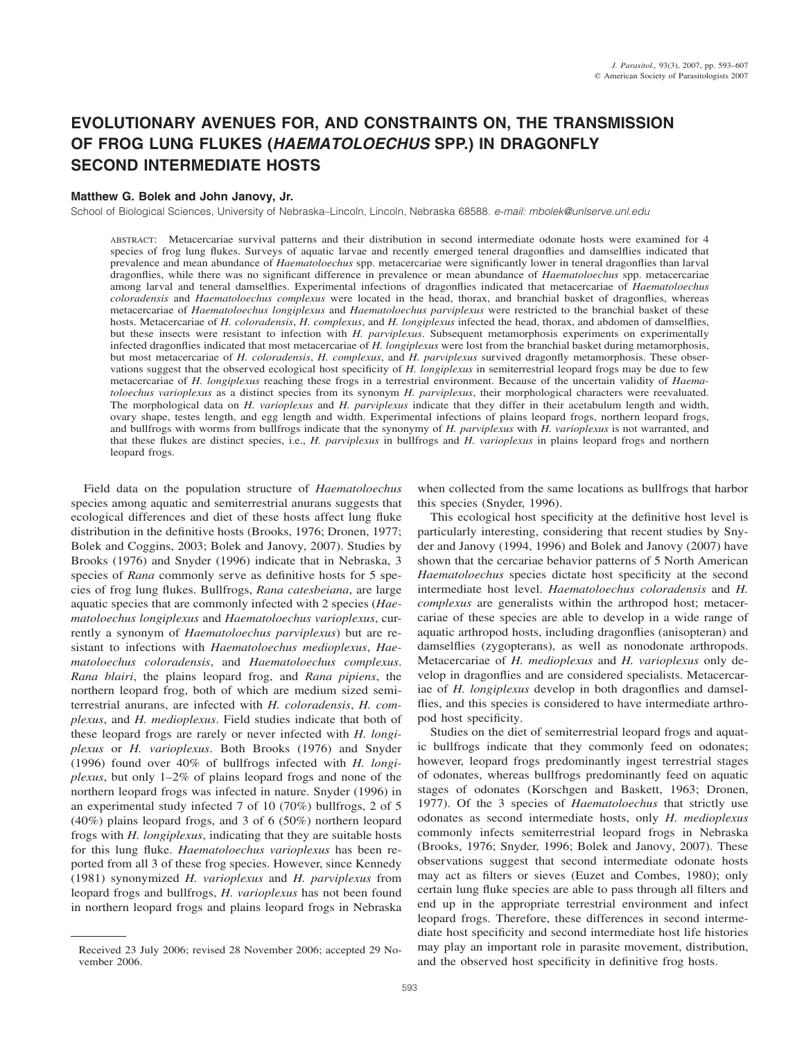# **EVOLUTIONARY AVENUES FOR, AND CONSTRAINTS ON, THE TRANSMISSION OF FROG LUNG FLUKES (***HAEMATOLOECHUS* **SPP.) IN DRAGONFLY SECOND INTERMEDIATE HOSTS**

# **Matthew G. Bolek and John Janovy, Jr.**

School of Biological Sciences, University of Nebraska–Lincoln, Lincoln, Nebraska 68588. *e-mail: mbolek@unlserve.unl.edu*

ABSTRACT: Metacercariae survival patterns and their distribution in second intermediate odonate hosts were examined for 4 species of frog lung flukes. Surveys of aquatic larvae and recently emerged teneral dragonflies and damselflies indicated that prevalence and mean abundance of *Haematoloechus* spp. metacercariae were significantly lower in teneral dragonflies than larval dragonflies, while there was no significant difference in prevalence or mean abundance of *Haematoloechus* spp. metacercariae among larval and teneral damselflies. Experimental infections of dragonflies indicated that metacercariae of *Haematoloechus coloradensis* and *Haematoloechus complexus* were located in the head, thorax, and branchial basket of dragonflies, whereas metacercariae of *Haematoloechus longiplexus* and *Haematoloechus parviplexus* were restricted to the branchial basket of these hosts. Metacercariae of *H. coloradensis*, *H. complexus*, and *H. longiplexus* infected the head, thorax, and abdomen of damselflies, but these insects were resistant to infection with *H. parviplexus*. Subsequent metamorphosis experiments on experimentally infected dragonflies indicated that most metacercariae of *H. longiplexus* were lost from the branchial basket during metamorphosis, but most metacercariae of *H. coloradensis*, *H. complexus*, and *H. parviplexus* survived dragonfly metamorphosis. These observations suggest that the observed ecological host specificity of *H. longiplexus* in semiterrestrial leopard frogs may be due to few metacercariae of *H. longiplexus* reaching these frogs in a terrestrial environment. Because of the uncertain validity of *Haematoloechus varioplexus* as a distinct species from its synonym *H. parviplexus*, their morphological characters were reevaluated. The morphological data on *H. varioplexus* and *H. parviplexus* indicate that they differ in their acetabulum length and width, ovary shape, testes length, and egg length and width. Experimental infections of plains leopard frogs, northern leopard frogs, and bullfrogs with worms from bullfrogs indicate that the synonymy of *H. parviplexus* with *H. varioplexus* is not warranted, and that these flukes are distinct species, i.e., *H. parviplexus* in bullfrogs and *H. varioplexus* in plains leopard frogs and northern leopard frogs.

Field data on the population structure of *Haematoloechus* species among aquatic and semiterrestrial anurans suggests that ecological differences and diet of these hosts affect lung fluke distribution in the definitive hosts (Brooks, 1976; Dronen, 1977; Bolek and Coggins, 2003; Bolek and Janovy, 2007). Studies by Brooks (1976) and Snyder (1996) indicate that in Nebraska, 3 species of *Rana* commonly serve as definitive hosts for 5 species of frog lung flukes. Bullfrogs, *Rana catesbeiana*, are large aquatic species that are commonly infected with 2 species (*Haematoloechus longiplexus* and *Haematoloechus varioplexus*, currently a synonym of *Haematoloechus parviplexus*) but are resistant to infections with *Haematoloechus medioplexus*, *Haematoloechus coloradensis*, and *Haematoloechus complexus*. *Rana blairi*, the plains leopard frog, and *Rana pipiens*, the northern leopard frog, both of which are medium sized semiterrestrial anurans, are infected with *H. coloradensis*, *H. complexus*, and *H. medioplexus*. Field studies indicate that both of these leopard frogs are rarely or never infected with *H. longiplexus* or *H. varioplexus*. Both Brooks (1976) and Snyder (1996) found over 40% of bullfrogs infected with *H. longiplexus*, but only 1–2% of plains leopard frogs and none of the northern leopard frogs was infected in nature. Snyder (1996) in an experimental study infected 7 of 10 (70%) bullfrogs, 2 of 5 (40%) plains leopard frogs, and 3 of 6 (50%) northern leopard frogs with *H. longiplexus*, indicating that they are suitable hosts for this lung fluke. *Haematoloechus varioplexus* has been reported from all 3 of these frog species. However, since Kennedy (1981) synonymized *H. varioplexus* and *H. parviplexus* from leopard frogs and bullfrogs, *H. varioplexus* has not been found in northern leopard frogs and plains leopard frogs in Nebraska

when collected from the same locations as bullfrogs that harbor this species (Snyder, 1996).

This ecological host specificity at the definitive host level is particularly interesting, considering that recent studies by Snyder and Janovy (1994, 1996) and Bolek and Janovy (2007) have shown that the cercariae behavior patterns of 5 North American *Haematoloechus* species dictate host specificity at the second intermediate host level. *Haematoloechus coloradensis* and *H. complexus* are generalists within the arthropod host; metacercariae of these species are able to develop in a wide range of aquatic arthropod hosts, including dragonflies (anisopteran) and damselflies (zygopterans), as well as nonodonate arthropods. Metacercariae of *H. medioplexus* and *H. varioplexus* only develop in dragonflies and are considered specialists. Metacercariae of *H. longiplexus* develop in both dragonflies and damselflies, and this species is considered to have intermediate arthropod host specificity.

Studies on the diet of semiterrestrial leopard frogs and aquatic bullfrogs indicate that they commonly feed on odonates; however, leopard frogs predominantly ingest terrestrial stages of odonates, whereas bullfrogs predominantly feed on aquatic stages of odonates (Korschgen and Baskett, 1963; Dronen, 1977). Of the 3 species of *Haematoloechus* that strictly use odonates as second intermediate hosts, only *H. medioplexus* commonly infects semiterrestrial leopard frogs in Nebraska (Brooks, 1976; Snyder, 1996; Bolek and Janovy, 2007). These observations suggest that second intermediate odonate hosts may act as filters or sieves (Euzet and Combes, 1980); only certain lung fluke species are able to pass through all filters and end up in the appropriate terrestrial environment and infect leopard frogs. Therefore, these differences in second intermediate host specificity and second intermediate host life histories may play an important role in parasite movement, distribution, and the observed host specificity in definitive frog hosts.

Received 23 July 2006; revised 28 November 2006; accepted 29 November 2006.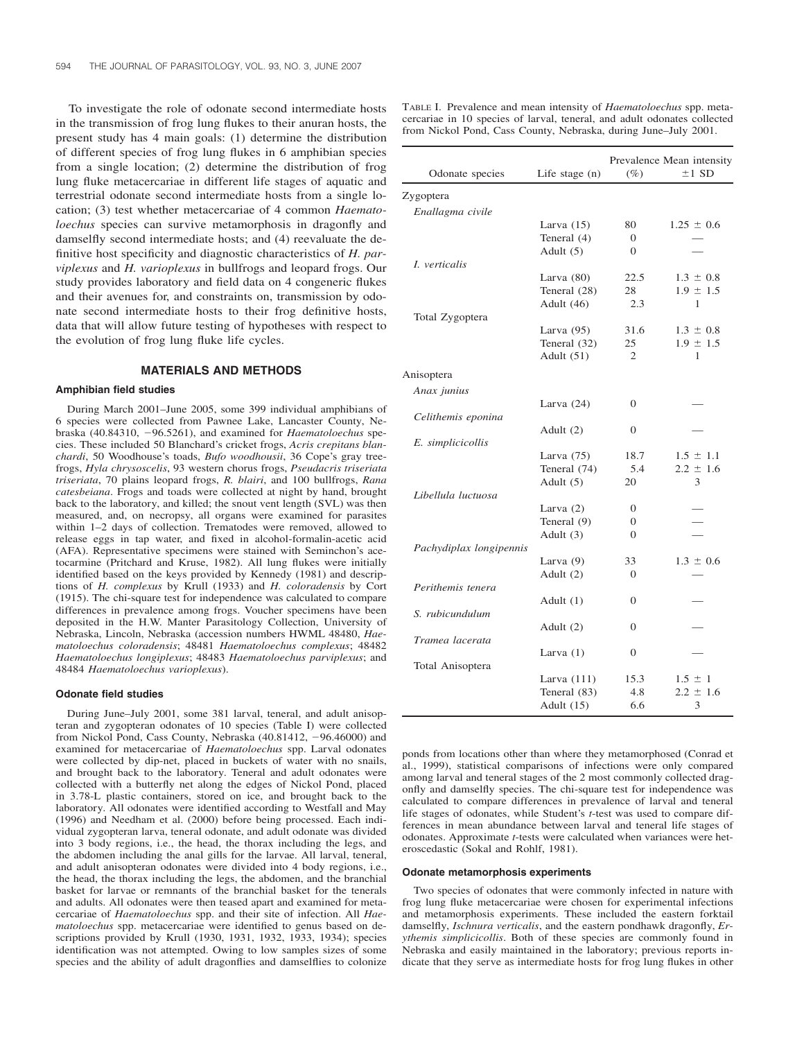To investigate the role of odonate second intermediate hosts in the transmission of frog lung flukes to their anuran hosts, the present study has 4 main goals: (1) determine the distribution of different species of frog lung flukes in 6 amphibian species from a single location; (2) determine the distribution of frog lung fluke metacercariae in different life stages of aquatic and terrestrial odonate second intermediate hosts from a single location; (3) test whether metacercariae of 4 common *Haematoloechus* species can survive metamorphosis in dragonfly and damselfly second intermediate hosts; and (4) reevaluate the definitive host specificity and diagnostic characteristics of *H. parviplexus* and *H. varioplexus* in bullfrogs and leopard frogs. Our study provides laboratory and field data on 4 congeneric flukes and their avenues for, and constraints on, transmission by odonate second intermediate hosts to their frog definitive hosts, data that will allow future testing of hypotheses with respect to the evolution of frog lung fluke life cycles.

# **MATERIALS AND METHODS**

## **Amphibian field studies**

During March 2001–June 2005, some 399 individual amphibians of 6 species were collected from Pawnee Lake, Lancaster County, Nebraska (40.84310, 96.5261), and examined for *Haematoloechus* species. These included 50 Blanchard's cricket frogs, *Acris crepitans blanchardi*, 50 Woodhouse's toads, *Bufo woodhousii*, 36 Cope's gray treefrogs, *Hyla chrysoscelis*, 93 western chorus frogs, *Pseudacris triseriata triseriata*, 70 plains leopard frogs, *R. blairi*, and 100 bullfrogs, *Rana catesbeiana*. Frogs and toads were collected at night by hand, brought back to the laboratory, and killed; the snout vent length (SVL) was then measured, and, on necropsy, all organs were examined for parasites within 1–2 days of collection. Trematodes were removed, allowed to release eggs in tap water, and fixed in alcohol-formalin-acetic acid (AFA). Representative specimens were stained with Seminchon's acetocarmine (Pritchard and Kruse, 1982). All lung flukes were initially identified based on the keys provided by Kennedy (1981) and descriptions of *H. complexus* by Krull (1933) and *H. coloradensis* by Cort (1915). The chi-square test for independence was calculated to compare differences in prevalence among frogs. Voucher specimens have been deposited in the H.W. Manter Parasitology Collection, University of Nebraska, Lincoln, Nebraska (accession numbers HWML 48480, *Haematoloechus coloradensis*; 48481 *Haematoloechus complexus*; 48482 *Haematoloechus longiplexus*; 48483 *Haematoloechus parviplexus*; and 48484 *Haematoloechus varioplexus*).

#### **Odonate field studies**

During June–July 2001, some 381 larval, teneral, and adult anisopteran and zygopteran odonates of 10 species (Table I) were collected from Nickol Pond, Cass County, Nebraska  $(40.81412, -96.46000)$  and examined for metacercariae of *Haematoloechus* spp. Larval odonates were collected by dip-net, placed in buckets of water with no snails, and brought back to the laboratory. Teneral and adult odonates were collected with a butterfly net along the edges of Nickol Pond, placed in 3.78-L plastic containers, stored on ice, and brought back to the laboratory. All odonates were identified according to Westfall and May (1996) and Needham et al. (2000) before being processed. Each individual zygopteran larva, teneral odonate, and adult odonate was divided into 3 body regions, i.e., the head, the thorax including the legs, and the abdomen including the anal gills for the larvae. All larval, teneral, and adult anisopteran odonates were divided into 4 body regions, i.e., the head, the thorax including the legs, the abdomen, and the branchial basket for larvae or remnants of the branchial basket for the tenerals and adults. All odonates were then teased apart and examined for metacercariae of *Haematoloechus* spp. and their site of infection. All *Haematoloechus* spp. metacercariae were identified to genus based on descriptions provided by Krull (1930, 1931, 1932, 1933, 1934); species identification was not attempted. Owing to low samples sizes of some species and the ability of adult dragonflies and damselflies to colonize

| TABLE I. Prevalence and mean intensity of <i>Haematoloechus</i> spp. meta- |
|----------------------------------------------------------------------------|
| cercariae in 10 species of larval, teneral, and adult odonates collected   |
| from Nickol Pond, Cass County, Nebraska, during June–July 2001.            |

| Odonate species         | Life stage (n) | $(\%)$         | Prevalence Mean intensity<br>$±1$ SD |
|-------------------------|----------------|----------------|--------------------------------------|
| Zygoptera               |                |                |                                      |
| Enallagma civile        |                |                |                                      |
|                         | Larva $(15)$   | 80             | $1.25 \pm 0.6$                       |
|                         | Teneral (4)    | $\Omega$       |                                      |
|                         | Adult $(5)$    | $\Omega$       |                                      |
| I. verticalis           |                |                |                                      |
|                         | Larva $(80)$   | 22.5           | $1.3 \pm 0.8$                        |
|                         | Teneral (28)   | 28             | $1.9 \pm 1.5$                        |
|                         | Adult $(46)$   | 2.3            | 1                                    |
| Total Zygoptera         |                |                |                                      |
|                         | Larva $(95)$   | 31.6           | $1.3 \pm 0.8$                        |
|                         | Teneral (32)   | 25             | $1.9 \pm 1.5$                        |
|                         | Adult $(51)$   | 2              | 1                                    |
| Anisoptera              |                |                |                                      |
| Anax junius             |                |                |                                      |
|                         | Larva $(24)$   | $\Omega$       |                                      |
| Celithemis eponina      |                |                |                                      |
|                         | Adult $(2)$    | $\overline{0}$ |                                      |
| E. simplicicollis       |                |                |                                      |
|                         | Larva $(75)$   | 18.7           | $1.5 \pm 1.1$                        |
|                         | Teneral (74)   | 5.4            | $2.2 \pm 1.6$                        |
|                         | Adult $(5)$    | 20             | 3                                    |
| Libellula luctuosa      |                |                |                                      |
|                         | Larva $(2)$    | $\overline{0}$ |                                      |
|                         | Teneral (9)    | $\Omega$       |                                      |
|                         | Adult $(3)$    | $\Omega$       |                                      |
| Pachydiplax longipennis |                |                |                                      |
|                         | Larva $(9)$    | 33             | $1.3 \pm 0.6$                        |
|                         | Adult $(2)$    | $\theta$       |                                      |
| Perithemis tenera       |                |                |                                      |
|                         | Adult $(1)$    | $\overline{0}$ |                                      |
| S. rubicundulum         |                |                |                                      |
|                         | Adult $(2)$    | $\overline{0}$ |                                      |
| Tramea lacerata         |                | $\theta$       |                                      |
| Total Anisoptera        | Larva $(1)$    |                |                                      |
|                         | Larva $(111)$  | 15.3           | $1.5 \pm 1$                          |
|                         | Teneral (83)   | 4.8            | $2.2 \pm 1.6$                        |
|                         | Adult $(15)$   | 6.6            | 3                                    |
|                         |                |                |                                      |

ponds from locations other than where they metamorphosed (Conrad et al., 1999), statistical comparisons of infections were only compared among larval and teneral stages of the 2 most commonly collected dragonfly and damselfly species. The chi-square test for independence was calculated to compare differences in prevalence of larval and teneral life stages of odonates, while Student's *t*-test was used to compare differences in mean abundance between larval and teneral life stages of odonates. Approximate *t*-tests were calculated when variances were heteroscedastic (Sokal and Rohlf, 1981).

## **Odonate metamorphosis experiments**

Two species of odonates that were commonly infected in nature with frog lung fluke metacercariae were chosen for experimental infections and metamorphosis experiments. These included the eastern forktail damselfly, *Ischnura verticalis*, and the eastern pondhawk dragonfly, *Erythemis simplicicollis*. Both of these species are commonly found in Nebraska and easily maintained in the laboratory; previous reports indicate that they serve as intermediate hosts for frog lung flukes in other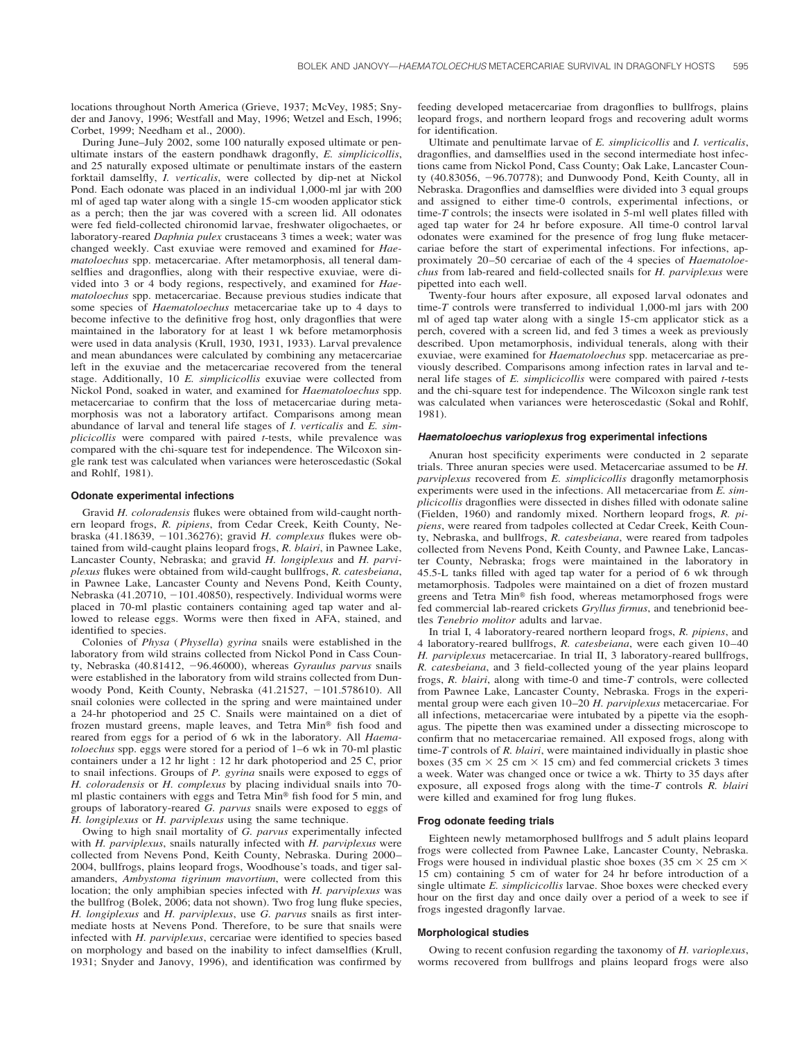locations throughout North America (Grieve, 1937; McVey, 1985; Snyder and Janovy, 1996; Westfall and May, 1996; Wetzel and Esch, 1996; Corbet, 1999; Needham et al., 2000).

During June–July 2002, some 100 naturally exposed ultimate or penultimate instars of the eastern pondhawk dragonfly, *E. simplicicollis*, and 25 naturally exposed ultimate or penultimate instars of the eastern forktail damselfly, *I. verticalis*, were collected by dip-net at Nickol Pond. Each odonate was placed in an individual 1,000-ml jar with 200 ml of aged tap water along with a single 15-cm wooden applicator stick as a perch; then the jar was covered with a screen lid. All odonates were fed field-collected chironomid larvae, freshwater oligochaetes, or laboratory-reared *Daphnia pulex* crustaceans 3 times a week; water was changed weekly. Cast exuviae were removed and examined for *Haematoloechus* spp. metacercariae. After metamorphosis, all teneral damselflies and dragonflies, along with their respective exuviae, were divided into 3 or 4 body regions, respectively, and examined for *Haematoloechus* spp. metacercariae. Because previous studies indicate that some species of *Haematoloechus* metacercariae take up to 4 days to become infective to the definitive frog host, only dragonflies that were maintained in the laboratory for at least 1 wk before metamorphosis were used in data analysis (Krull, 1930, 1931, 1933). Larval prevalence and mean abundances were calculated by combining any metacercariae left in the exuviae and the metacercariae recovered from the teneral stage. Additionally, 10 *E. simplicicollis* exuviae were collected from Nickol Pond, soaked in water, and examined for *Haematoloechus* spp. metacercariae to confirm that the loss of metacercariae during metamorphosis was not a laboratory artifact. Comparisons among mean abundance of larval and teneral life stages of *I. verticalis* and *E. simplicicollis* were compared with paired *t*-tests, while prevalence was compared with the chi-square test for independence. The Wilcoxon single rank test was calculated when variances were heteroscedastic (Sokal and Rohlf, 1981).

## **Odonate experimental infections**

Gravid *H. coloradensis* flukes were obtained from wild-caught northern leopard frogs, *R. pipiens*, from Cedar Creek, Keith County, Nebraska (41.18639, 101.36276); gravid *H. complexus* flukes were obtained from wild-caught plains leopard frogs, *R. blairi*, in Pawnee Lake, Lancaster County, Nebraska; and gravid *H. longiplexus* and *H. parviplexus* flukes were obtained from wild-caught bullfrogs, *R. catesbeiana*, in Pawnee Lake, Lancaster County and Nevens Pond, Keith County, Nebraska (41.20710,  $-101.40850$ ), respectively. Individual worms were placed in 70-ml plastic containers containing aged tap water and allowed to release eggs. Worms were then fixed in AFA, stained, and identified to species.

Colonies of *Physa* (*Physella*) *gyrina* snails were established in the laboratory from wild strains collected from Nickol Pond in Cass County, Nebraska (40.81412, 96.46000), whereas *Gyraulus parvus* snails were established in the laboratory from wild strains collected from Dunwoody Pond, Keith County, Nebraska (41.21527, -101.578610). All snail colonies were collected in the spring and were maintained under a 24-hr photoperiod and 25 C. Snails were maintained on a diet of frozen mustard greens, maple leaves, and Tetra Min® fish food and reared from eggs for a period of 6 wk in the laboratory. All *Haematoloechus* spp. eggs were stored for a period of 1–6 wk in 70-ml plastic containers under a 12 hr light : 12 hr dark photoperiod and 25 C, prior to snail infections. Groups of *P. gyrina* snails were exposed to eggs of *H. coloradensis* or *H. complexus* by placing individual snails into 70 ml plastic containers with eggs and Tetra Min® fish food for 5 min, and groups of laboratory-reared *G. parvus* snails were exposed to eggs of *H. longiplexus* or *H. parviplexus* using the same technique.

Owing to high snail mortality of *G. parvus* experimentally infected with *H. parviplexus*, snails naturally infected with *H. parviplexus* were collected from Nevens Pond, Keith County, Nebraska. During 2000– 2004, bullfrogs, plains leopard frogs, Woodhouse's toads, and tiger salamanders, *Ambystoma tigrinum mavortium*, were collected from this location; the only amphibian species infected with *H. parviplexus* was the bullfrog (Bolek, 2006; data not shown). Two frog lung fluke species, *H. longiplexus* and *H. parviplexus*, use *G. parvus* snails as first intermediate hosts at Nevens Pond. Therefore, to be sure that snails were infected with *H. parviplexus*, cercariae were identified to species based on morphology and based on the inability to infect damselflies (Krull, 1931; Snyder and Janovy, 1996), and identification was confirmed by

feeding developed metacercariae from dragonflies to bullfrogs, plains leopard frogs, and northern leopard frogs and recovering adult worms for identification.

Ultimate and penultimate larvae of *E. simplicicollis* and *I. verticalis*, dragonflies, and damselflies used in the second intermediate host infections came from Nickol Pond, Cass County; Oak Lake, Lancaster County  $(40.83056, -96.70778)$ ; and Dunwoody Pond, Keith County, all in Nebraska. Dragonflies and damselflies were divided into 3 equal groups and assigned to either time-0 controls, experimental infections, or time-*T* controls; the insects were isolated in 5-ml well plates filled with aged tap water for 24 hr before exposure. All time-0 control larval odonates were examined for the presence of frog lung fluke metacercariae before the start of experimental infections. For infections, approximately 20–50 cercariae of each of the 4 species of *Haematoloechus* from lab-reared and field-collected snails for *H. parviplexus* were pipetted into each well.

Twenty-four hours after exposure, all exposed larval odonates and time-*T* controls were transferred to individual 1,000-ml jars with 200 ml of aged tap water along with a single 15-cm applicator stick as a perch, covered with a screen lid, and fed 3 times a week as previously described. Upon metamorphosis, individual tenerals, along with their exuviae, were examined for *Haematoloechus* spp. metacercariae as previously described. Comparisons among infection rates in larval and teneral life stages of *E. simplicicollis* were compared with paired *t*-tests and the chi-square test for independence. The Wilcoxon single rank test was calculated when variances were heteroscedastic (Sokal and Rohlf, 1981).

#### *Haematoloechus varioplexus* **frog experimental infections**

Anuran host specificity experiments were conducted in 2 separate trials. Three anuran species were used. Metacercariae assumed to be *H. parviplexus* recovered from *E. simplicicollis* dragonfly metamorphosis experiments were used in the infections. All metacercariae from *E. simplicicollis* dragonflies were dissected in dishes filled with odonate saline (Fielden, 1960) and randomly mixed. Northern leopard frogs, *R. pipiens*, were reared from tadpoles collected at Cedar Creek, Keith County, Nebraska, and bullfrogs, *R. catesbeiana*, were reared from tadpoles collected from Nevens Pond, Keith County, and Pawnee Lake, Lancaster County, Nebraska; frogs were maintained in the laboratory in 45.5-L tanks filled with aged tap water for a period of 6 wk through metamorphosis. Tadpoles were maintained on a diet of frozen mustard greens and Tetra Min<sup>®</sup> fish food, whereas metamorphosed frogs were fed commercial lab-reared crickets *Gryllus firmus*, and tenebrionid beetles *Tenebrio molitor* adults and larvae.

In trial I, 4 laboratory-reared northern leopard frogs, *R. pipiens*, and 4 laboratory-reared bullfrogs, *R. catesbeiana*, were each given 10–40 *H. parviplexus* metacercariae. In trial II, 3 laboratory-reared bullfrogs, *R. catesbeiana*, and 3 field-collected young of the year plains leopard frogs, *R. blairi*, along with time-0 and time-*T* controls, were collected from Pawnee Lake, Lancaster County, Nebraska. Frogs in the experimental group were each given 10–20 *H. parviplexus* metacercariae. For all infections, metacercariae were intubated by a pipette via the esophagus. The pipette then was examined under a dissecting microscope to confirm that no metacercariae remained. All exposed frogs, along with time-*T* controls of *R. blairi*, were maintained individually in plastic shoe boxes (35 cm  $\times$  25 cm  $\times$  15 cm) and fed commercial crickets 3 times a week. Water was changed once or twice a wk. Thirty to 35 days after exposure, all exposed frogs along with the time-*T* controls *R. blairi* were killed and examined for frog lung flukes.

# **Frog odonate feeding trials**

Eighteen newly metamorphosed bullfrogs and 5 adult plains leopard frogs were collected from Pawnee Lake, Lancaster County, Nebraska. Frogs were housed in individual plastic shoe boxes (35 cm  $\times$  25 cm  $\times$ 15 cm) containing 5 cm of water for 24 hr before introduction of a single ultimate *E. simplicicollis* larvae. Shoe boxes were checked every hour on the first day and once daily over a period of a week to see if frogs ingested dragonfly larvae.

## **Morphological studies**

Owing to recent confusion regarding the taxonomy of *H. varioplexus*, worms recovered from bullfrogs and plains leopard frogs were also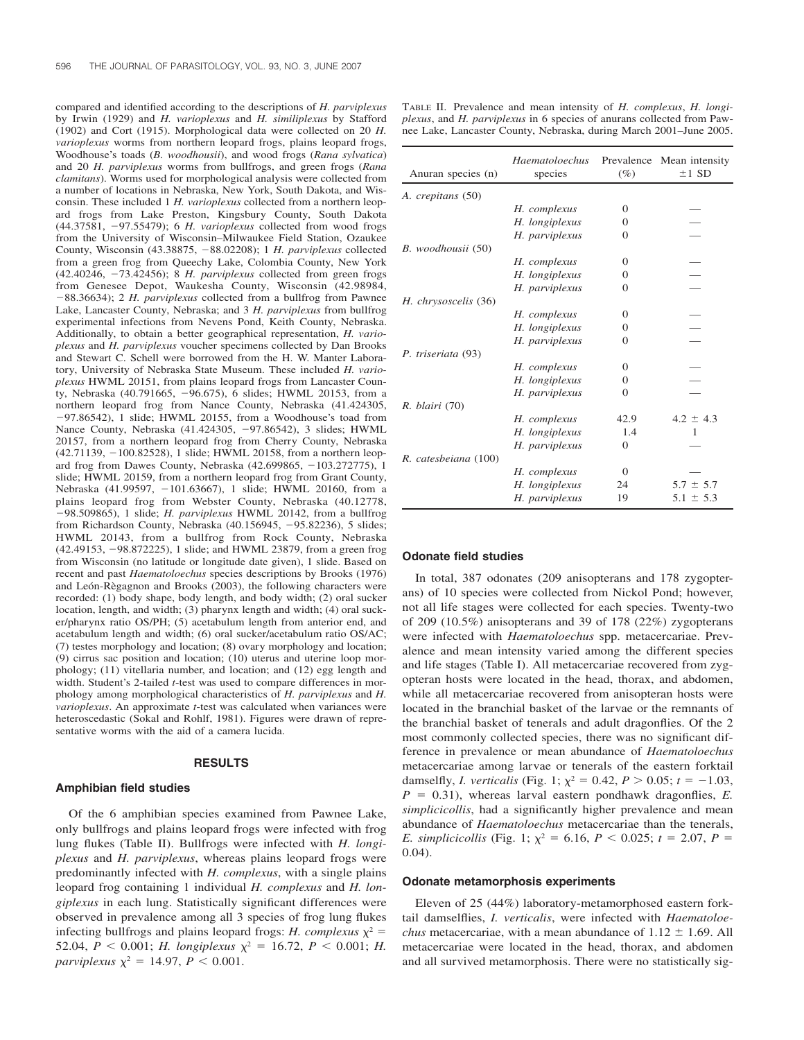compared and identified according to the descriptions of *H. parviplexus* by Irwin (1929) and *H. varioplexus* and *H. similiplexus* by Stafford (1902) and Cort (1915). Morphological data were collected on 20 *H. varioplexus* worms from northern leopard frogs, plains leopard frogs, Woodhouse's toads (*B. woodhousii*), and wood frogs (*Rana sylvatica*) and 20 *H. parviplexus* worms from bullfrogs, and green frogs (*Rana clamitans*). Worms used for morphological analysis were collected from a number of locations in Nebraska, New York, South Dakota, and Wisconsin. These included 1 *H. varioplexus* collected from a northern leopard frogs from Lake Preston, Kingsbury County, South Dakota (44.37581, 97.55479); 6 *H. varioplexus* collected from wood frogs from the University of Wisconsin–Milwaukee Field Station, Ozaukee County, Wisconsin (43.38875, -88.02208); 1 *H. parviplexus* collected from a green frog from Queechy Lake, Colombia County, New York (42.40246, 73.42456); 8 *H. parviplexus* collected from green frogs from Genesee Depot, Waukesha County, Wisconsin (42.98984, 88.36634); 2 *H. parviplexus* collected from a bullfrog from Pawnee Lake, Lancaster County, Nebraska; and 3 *H. parviplexus* from bullfrog experimental infections from Nevens Pond, Keith County, Nebraska. Additionally, to obtain a better geographical representation, *H. varioplexus* and *H. parviplexus* voucher specimens collected by Dan Brooks and Stewart C. Schell were borrowed from the H. W. Manter Laboratory, University of Nebraska State Museum. These included *H. varioplexus* HWML 20151, from plains leopard frogs from Lancaster County, Nebraska (40.791665, -96.675), 6 slides; HWML 20153, from a northern leopard frog from Nance County, Nebraska (41.424305,  $-97.86542$ ), 1 slide; HWML 20155, from a Woodhouse's toad from Nance County, Nebraska (41.424305, -97.86542), 3 slides; HWML 20157, from a northern leopard frog from Cherry County, Nebraska (42.71139, -100.82528), 1 slide; HWML 20158, from a northern leopard frog from Dawes County, Nebraska (42.699865, -103.272775), 1 slide; HWML 20159, from a northern leopard frog from Grant County, Nebraska (41.99597, -101.63667), 1 slide; HWML 20160, from a plains leopard frog from Webster County, Nebraska (40.12778, 98.509865), 1 slide; *H. parviplexus* HWML 20142, from a bullfrog from Richardson County, Nebraska (40.156945, -95.82236), 5 slides; HWML 20143, from a bullfrog from Rock County, Nebraska (42.49153, 98.872225), 1 slide; and HWML 23879, from a green frog from Wisconsin (no latitude or longitude date given), 1 slide. Based on recent and past *Haematoloechus* species descriptions by Brooks (1976) and León-Règagnon and Brooks (2003), the following characters were recorded: (1) body shape, body length, and body width; (2) oral sucker location, length, and width; (3) pharynx length and width; (4) oral sucker/pharynx ratio OS/PH; (5) acetabulum length from anterior end, and acetabulum length and width; (6) oral sucker/acetabulum ratio OS/AC; (7) testes morphology and location; (8) ovary morphology and location; (9) cirrus sac position and location; (10) uterus and uterine loop morphology; (11) vitellaria number, and location; and (12) egg length and width. Student's 2-tailed *t*-test was used to compare differences in morphology among morphological characteristics of *H. parviplexus* and *H. varioplexus*. An approximate *t*-test was calculated when variances were heteroscedastic (Sokal and Rohlf, 1981). Figures were drawn of representative worms with the aid of a camera lucida.

## **RESULTS**

# **Amphibian field studies**

Of the 6 amphibian species examined from Pawnee Lake, only bullfrogs and plains leopard frogs were infected with frog lung flukes (Table II). Bullfrogs were infected with *H. longiplexus* and *H. parviplexus*, whereas plains leopard frogs were predominantly infected with *H. complexus*, with a single plains leopard frog containing 1 individual *H. complexus* and *H. longiplexus* in each lung. Statistically significant differences were observed in prevalence among all 3 species of frog lung flukes infecting bullfrogs and plains leopard frogs: *H. complexus*  $\chi^2$  = 52.04,  $P < 0.001$ ; *H. longiplexus*  $\chi^2 = 16.72$ ,  $P < 0.001$ ; *H. parviplexus*  $\chi^2 = 14.97$ ,  $P < 0.001$ .

|  |  |  |  | TABLE II. Prevalence and mean intensity of H. complexus, H. longi-     |  |
|--|--|--|--|------------------------------------------------------------------------|--|
|  |  |  |  | plexus, and H. parviplexus in 6 species of anurans collected from Paw- |  |
|  |  |  |  | nee Lake, Lancaster County, Nebraska, during March 2001–June 2005.     |  |

| Anuran species (n)   | Haematoloechus<br>species | (%)      | Prevalence Mean intensity<br>$±1$ SD |
|----------------------|---------------------------|----------|--------------------------------------|
| A. crepitans (50)    |                           |          |                                      |
|                      | H. complexus              | $\Omega$ |                                      |
|                      | H. longiplexus            | $\Omega$ |                                      |
|                      | H. parviplexus            | $\Omega$ |                                      |
| B. woodhousii (50)   |                           |          |                                      |
|                      | H. complexus              | $\Omega$ |                                      |
|                      | H. longiplexus            | $\Omega$ |                                      |
|                      | H. parviplexus            | $\Omega$ |                                      |
| H. chrysoscelis (36) |                           |          |                                      |
|                      | H. complexus              | $\Omega$ |                                      |
|                      | H. longiplexus            | $\Omega$ |                                      |
|                      | H. parviplexus            | $\Omega$ |                                      |
| P. triseriata (93)   |                           |          |                                      |
|                      | H. complexus              | $\Omega$ |                                      |
|                      | H. longiplexus            | $\Omega$ |                                      |
|                      | H. parviplexus            | $\Omega$ |                                      |
| R. blairi (70)       |                           |          |                                      |
|                      | H. complexus              | 42.9     | $4.2 \pm 4.3$                        |
|                      | H. longiplexus            | 1.4      | 1                                    |
|                      | H. parviplexus            | $\Omega$ |                                      |
| R. catesbeiana (100) |                           |          |                                      |
|                      | H. complexus              | $\Omega$ |                                      |
|                      | H. longiplexus            | 24       | $5.7 \pm 5.7$                        |
|                      | H. parviplexus            | 19       | $5.1 \pm 5.3$                        |

# **Odonate field studies**

In total, 387 odonates (209 anisopterans and 178 zygopterans) of 10 species were collected from Nickol Pond; however, not all life stages were collected for each species. Twenty-two of 209 (10.5%) anisopterans and 39 of 178 (22%) zygopterans were infected with *Haematoloechus* spp. metacercariae. Prevalence and mean intensity varied among the different species and life stages (Table I). All metacercariae recovered from zygopteran hosts were located in the head, thorax, and abdomen, while all metacercariae recovered from anisopteran hosts were located in the branchial basket of the larvae or the remnants of the branchial basket of tenerals and adult dragonflies. Of the 2 most commonly collected species, there was no significant difference in prevalence or mean abundance of *Haematoloechus* metacercariae among larvae or tenerals of the eastern forktail damselfly, *I. verticalis* (Fig. 1;  $\chi^2 = 0.42$ ,  $P > 0.05$ ;  $t = -1.03$ ,  $P = 0.31$ ), whereas larval eastern pondhawk dragonflies, *E*. *simplicicollis*, had a significantly higher prevalence and mean abundance of *Haematoloechus* metacercariae than the tenerals, *E. simplicicollis* (Fig. 1;  $\chi^2 = 6.16$ ,  $P < 0.025$ ;  $t = 2.07$ ,  $P =$ 0.04).

# **Odonate metamorphosis experiments**

Eleven of 25 (44%) laboratory-metamorphosed eastern forktail damselflies, *I. verticalis*, were infected with *Haematoloechus* metacercariae, with a mean abundance of  $1.12 \pm 1.69$ . All metacercariae were located in the head, thorax, and abdomen and all survived metamorphosis. There were no statistically sig-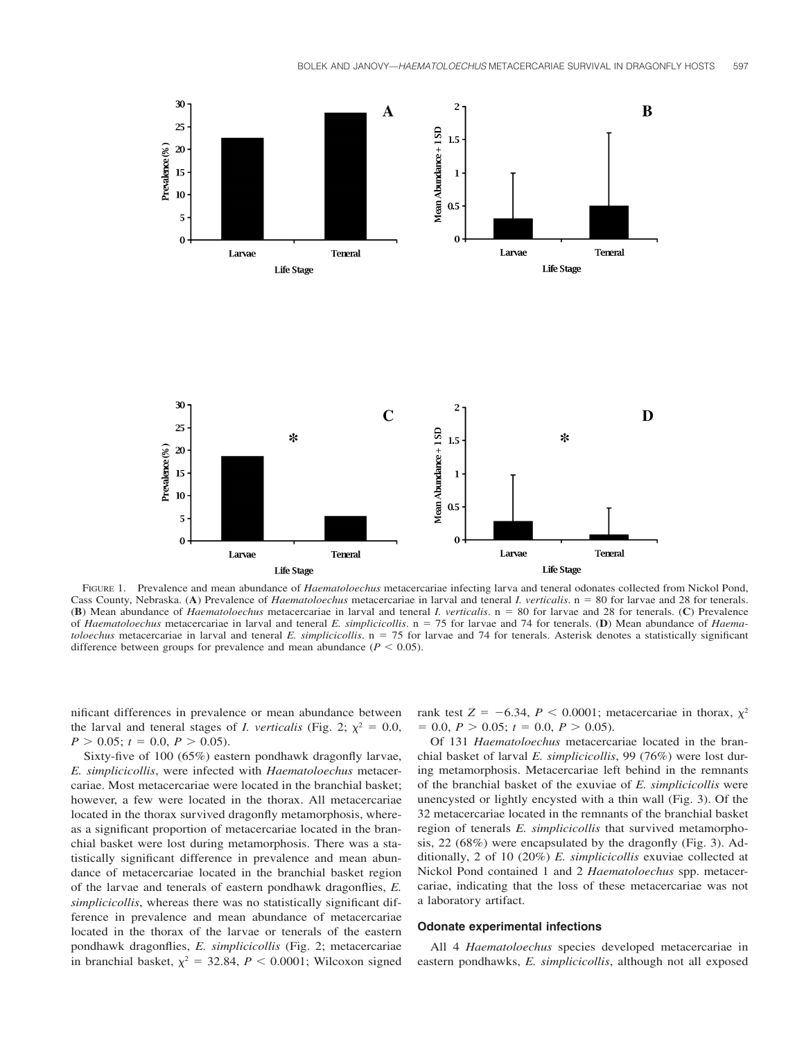

FIGURE 1. Prevalence and mean abundance of *Haematoloechus* metacercariae infecting larva and teneral odonates collected from Nickol Pond, Cass County, Nebraska. (A) Prevalence of *Haematoloechus* metacercariae in larval and teneral *I. verticalis*. n = 80 for larvae and 28 for tenerals. (**B**) Mean abundance of *Haematoloechus* metacercariae in larval and teneral *I. verticalis.* n = 80 for larvae and 28 for tenerals. (**C**) Prevalence of *Haematoloechus* metacercariae in larval and teneral *E. simplicicollis*. n 75 for larvae and 74 for tenerals. (**D**) Mean abundance of *Haematoloechus* metacercariae in larval and teneral *E. simplicicollis*. n = 75 for larvae and 74 for tenerals. Asterisk denotes a statistically significant difference between groups for prevalence and mean abundance ( $P < 0.05$ ).

nificant differences in prevalence or mean abundance between the larval and teneral stages of *I. verticalis* (Fig. 2;  $\chi^2 = 0.0$ ,  $P > 0.05$ ;  $t = 0.0$ ,  $P > 0.05$ ).

Sixty-five of 100 (65%) eastern pondhawk dragonfly larvae, *E. simplicicollis*, were infected with *Haematoloechus* metacercariae. Most metacercariae were located in the branchial basket; however, a few were located in the thorax. All metacercariae located in the thorax survived dragonfly metamorphosis, whereas a significant proportion of metacercariae located in the branchial basket were lost during metamorphosis. There was a statistically significant difference in prevalence and mean abundance of metacercariae located in the branchial basket region of the larvae and tenerals of eastern pondhawk dragonflies, *E. simplicicollis*, whereas there was no statistically significant difference in prevalence and mean abundance of metacercariae located in the thorax of the larvae or tenerals of the eastern pondhawk dragonflies, *E. simplicicollis* (Fig. 2; metacercariae in branchial basket,  $\chi^2 = 32.84$ ,  $P < 0.0001$ ; Wilcoxon signed rank test  $Z = -6.34$ ,  $P < 0.0001$ ; metacercariae in thorax,  $\chi^2$  $= 0.0, P > 0.05; t = 0.0, P > 0.05$ .

Of 131 *Haematoloechus* metacercariae located in the branchial basket of larval *E. simplicicollis*, 99 (76%) were lost during metamorphosis. Metacercariae left behind in the remnants of the branchial basket of the exuviae of *E. simplicicollis* were unencysted or lightly encysted with a thin wall (Fig. 3). Of the 32 metacercariae located in the remnants of the branchial basket region of tenerals *E. simplicicollis* that survived metamorphosis, 22 (68%) were encapsulated by the dragonfly (Fig. 3). Additionally, 2 of 10 (20%) *E. simplicicollis* exuviae collected at Nickol Pond contained 1 and 2 *Haematoloechus* spp. metacercariae, indicating that the loss of these metacercariae was not a laboratory artifact.

## **Odonate experimental infections**

All 4 *Haematoloechus* species developed metacercariae in eastern pondhawks, *E. simplicicollis*, although not all exposed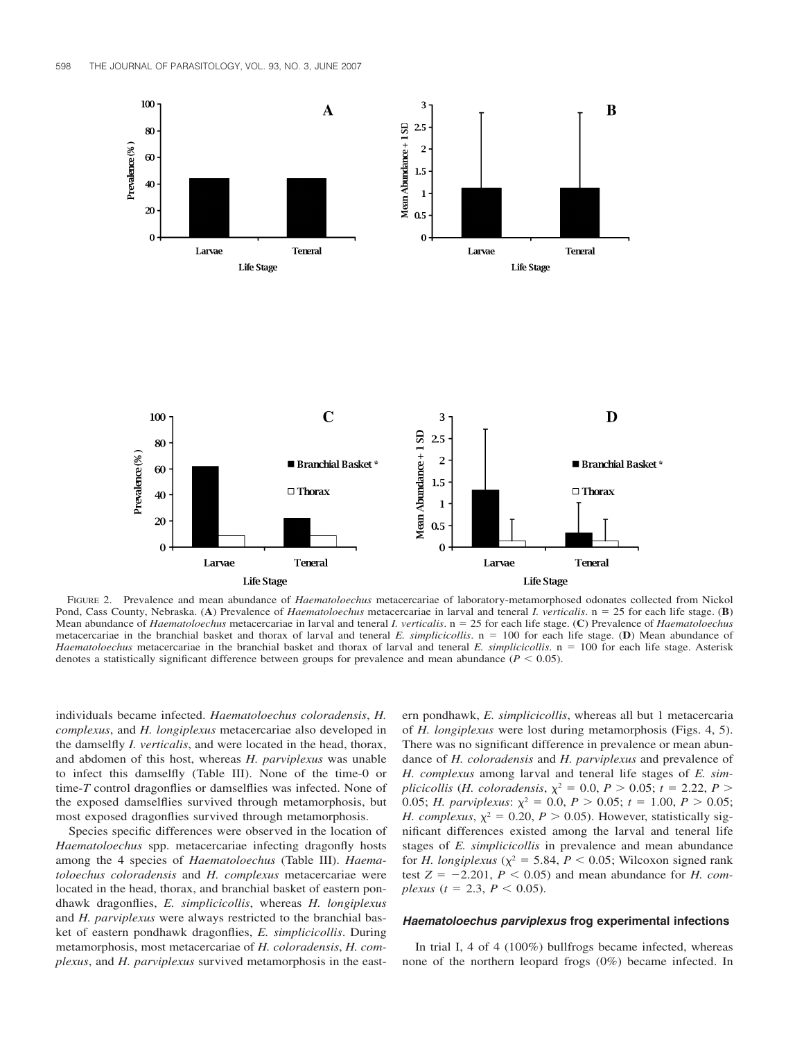

FIGURE 2. Prevalence and mean abundance of *Haematoloechus* metacercariae of laboratory-metamorphosed odonates collected from Nickol Pond, Cass County, Nebraska. (A) Prevalence of *Haematoloechus* metacercariae in larval and teneral *I. verticalis*. n = 25 for each life stage. (B) Mean abundance of *Haematoloechus* metacercariae in larval and teneral *I. verticalis*. n 25 for each life stage. (**C**) Prevalence of *Haematoloechus* metacercariae in the branchial basket and thorax of larval and teneral *E. simplicicollis*. n = 100 for each life stage. (**D**) Mean abundance of Haematoloechus metacercariae in the branchial basket and thorax of larval and teneral *E. simplicicollis*. n = 100 for each life stage. Asterisk denotes a statistically significant difference between groups for prevalence and mean abundance  $(P < 0.05)$ .

individuals became infected. *Haematoloechus coloradensis*, *H. complexus*, and *H. longiplexus* metacercariae also developed in the damselfly *I. verticalis*, and were located in the head, thorax, and abdomen of this host, whereas *H. parviplexus* was unable to infect this damselfly (Table III). None of the time-0 or time-*T* control dragonflies or damselflies was infected. None of the exposed damselflies survived through metamorphosis, but most exposed dragonflies survived through metamorphosis.

Species specific differences were observed in the location of *Haematoloechus* spp. metacercariae infecting dragonfly hosts among the 4 species of *Haematoloechus* (Table III). *Haematoloechus coloradensis* and *H. complexus* metacercariae were located in the head, thorax, and branchial basket of eastern pondhawk dragonflies, *E. simplicicollis*, whereas *H. longiplexus* and *H. parviplexus* were always restricted to the branchial basket of eastern pondhawk dragonflies, *E. simplicicollis*. During metamorphosis, most metacercariae of *H. coloradensis*, *H. complexus*, and *H. parviplexus* survived metamorphosis in the east-

ern pondhawk, *E. simplicicollis*, whereas all but 1 metacercaria of *H. longiplexus* were lost during metamorphosis (Figs. 4, 5). There was no significant difference in prevalence or mean abundance of *H. coloradensis* and *H. parviplexus* and prevalence of *H. complexus* among larval and teneral life stages of *E. simplicicollis* (*H. coloradensis*,  $\chi^2 = 0.0$ ,  $P > 0.05$ ;  $t = 2.22$ ,  $P >$ 0.05; *H. parviplexus*:  $\chi^2 = 0.0$ ,  $P > 0.05$ ;  $t = 1.00$ ,  $P > 0.05$ ; *H. complexus*,  $\chi^2 = 0.20$ ,  $P > 0.05$ ). However, statistically significant differences existed among the larval and teneral life stages of *E. simplicicollis* in prevalence and mean abundance for *H. longiplexus* ( $\chi^2$  = 5.84, *P* < 0.05; Wilcoxon signed rank test  $Z = -2.201$ ,  $P < 0.05$ ) and mean abundance for *H. complexus* (*t* = 2.3, *P* < 0.05).

#### *Haematoloechus parviplexus* **frog experimental infections**

In trial I, 4 of 4 (100%) bullfrogs became infected, whereas none of the northern leopard frogs (0%) became infected. In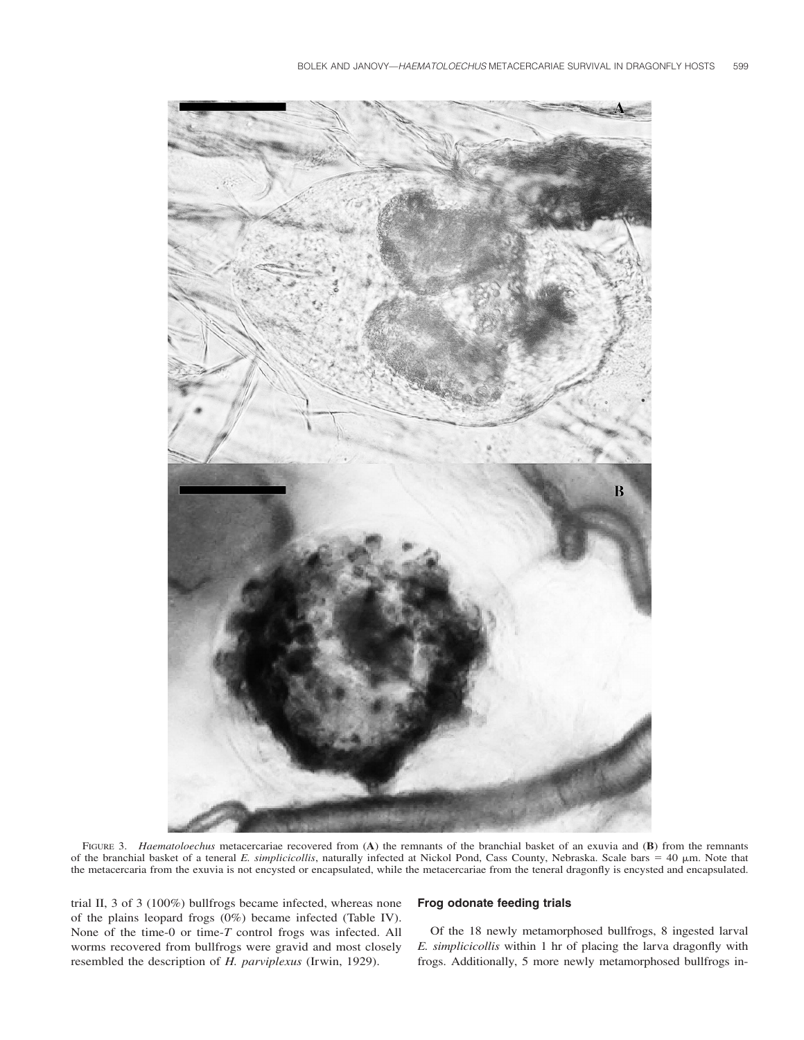

FIGURE 3. *Haematoloechus* metacercariae recovered from (**A**) the remnants of the branchial basket of an exuvia and (**B**) from the remnants of the branchial basket of a teneral *E. simplicicollis*, naturally infected at Nickol Pond, Cass County, Nebraska. Scale bars = 40  $\mu$ m. Note that the metacercaria from the exuvia is not encysted or encapsulated, while the metacercariae from the teneral dragonfly is encysted and encapsulated.

trial II, 3 of 3 (100%) bullfrogs became infected, whereas none of the plains leopard frogs (0%) became infected (Table IV). None of the time-0 or time-*T* control frogs was infected. All worms recovered from bullfrogs were gravid and most closely resembled the description of *H. parviplexus* (Irwin, 1929).

# **Frog odonate feeding trials**

Of the 18 newly metamorphosed bullfrogs, 8 ingested larval *E. simplicicollis* within 1 hr of placing the larva dragonfly with frogs. Additionally, 5 more newly metamorphosed bullfrogs in-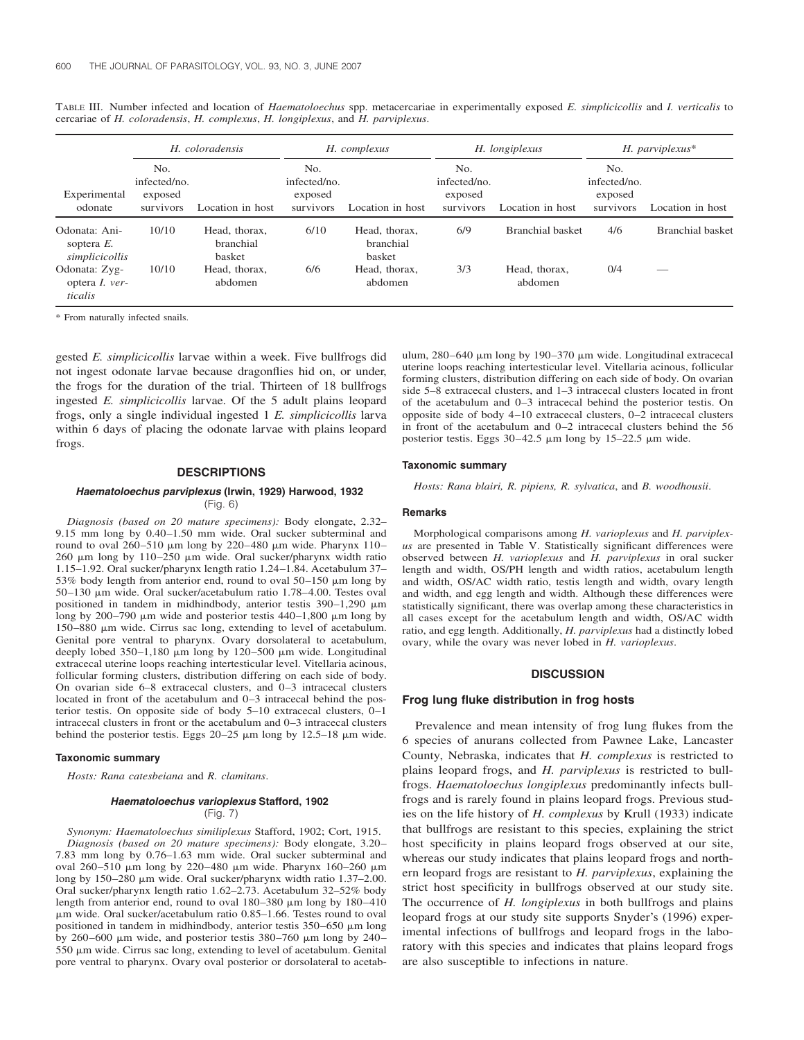|                                                   | H. coloradensis                             |                                      | H. complexus                                |                                      |                                             | H. longiplexus           | $H.$ parviplexus*                           |                  |
|---------------------------------------------------|---------------------------------------------|--------------------------------------|---------------------------------------------|--------------------------------------|---------------------------------------------|--------------------------|---------------------------------------------|------------------|
| Experimental<br>odonate                           | No.<br>infected/no.<br>exposed<br>survivors | Location in host                     | No.<br>infected/no.<br>exposed<br>survivors | Location in host                     | No.<br>infected/no.<br>exposed<br>survivors | Location in host         | No.<br>infected/no.<br>exposed<br>survivors | Location in host |
| Odonata: Ani-<br>soptera $E$ .<br>simplicicollis  | 10/10                                       | Head, thorax.<br>branchial<br>basket | 6/10                                        | Head, thorax.<br>branchial<br>basket | 6/9                                         | Branchial basket         | 4/6                                         | Branchial basket |
| Odonata: Zyg-<br>optera <i>I. ver-</i><br>ticalis | 10/10                                       | Head, thorax.<br>abdomen             | 6/6                                         | Head, thorax,<br>abdomen             | 3/3                                         | Head, thorax.<br>abdomen | 0/4                                         |                  |

TABLE III. Number infected and location of *Haematoloechus* spp. metacercariae in experimentally exposed *E. simplicicollis* and *I. verticalis* to cercariae of *H. coloradensis*, *H. complexus*, *H. longiplexus*, and *H. parviplexus*.

\* From naturally infected snails.

gested *E. simplicicollis* larvae within a week. Five bullfrogs did not ingest odonate larvae because dragonflies hid on, or under, the frogs for the duration of the trial. Thirteen of 18 bullfrogs ingested *E. simplicicollis* larvae. Of the 5 adult plains leopard frogs, only a single individual ingested 1 *E. simplicicollis* larva within 6 days of placing the odonate larvae with plains leopard frogs.

## **DESCRIPTIONS**

#### *Haematoloechus parviplexus* **(Irwin, 1929) Harwood, 1932** (Fig. 6)

*Diagnosis (based on 20 mature specimens):* Body elongate, 2.32– 9.15 mm long by 0.40–1.50 mm wide. Oral sucker subterminal and round to oval  $260-510 \mu m$  long by  $220-480 \mu m$  wide. Pharynx  $110 260 \mu m$  long by 110–250  $\mu$ m wide. Oral sucker/pharynx width ratio 1.15–1.92. Oral sucker/pharynx length ratio 1.24–1.84. Acetabulum 37– 53% body length from anterior end, round to oval  $50-150 \mu m$  long by 50–130 m wide. Oral sucker/acetabulum ratio 1.78–4.00. Testes oval positioned in tandem in midhindbody, anterior testis  $390-1,290 \mu m$ long by 200–790  $\mu$ m wide and posterior testis 440–1,800  $\mu$ m long by 150–880  $\mu$ m wide. Cirrus sac long, extending to level of acetabulum. Genital pore ventral to pharynx. Ovary dorsolateral to acetabulum, deeply lobed  $350-1,180 \mu m$  long by  $120-500 \mu m$  wide. Longitudinal extracecal uterine loops reaching intertesticular level. Vitellaria acinous, follicular forming clusters, distribution differing on each side of body. On ovarian side 6–8 extracecal clusters, and 0–3 intracecal clusters located in front of the acetabulum and 0–3 intracecal behind the posterior testis. On opposite side of body 5–10 extracecal clusters, 0–1 intracecal clusters in front or the acetabulum and 0–3 intracecal clusters behind the posterior testis. Eggs  $20-25 \mu m$  long by 12.5–18  $\mu m$  wide.

#### **Taxonomic summary**

*Hosts: Rana catesbeiana* and *R. clamitans*.

# *Haematoloechus varioplexus* **Stafford, 1902** (Fig. 7)

*Synonym: Haematoloechus similiplexus* Stafford, 1902; Cort, 1915. *Diagnosis (based on 20 mature specimens):* Body elongate, 3.20– 7.83 mm long by 0.76–1.63 mm wide. Oral sucker subterminal and oval 260–510  $\mu$ m long by 220–480  $\mu$ m wide. Pharynx 160–260  $\mu$ m long by 150–280  $\mu$ m wide. Oral sucker/pharynx width ratio 1.37–2.00. Oral sucker/pharynx length ratio 1.62–2.73. Acetabulum 32–52% body length from anterior end, round to oval  $180-380 \mu m$  long by  $180-410$  m wide. Oral sucker/acetabulum ratio 0.85–1.66. Testes round to oval positioned in tandem in midhindbody, anterior testis  $350-650 \mu m$  long by 260–600  $\mu$ m wide, and posterior testis 380–760  $\mu$ m long by 240–  $550 \mu m$  wide. Cirrus sac long, extending to level of acetabulum. Genital pore ventral to pharynx. Ovary oval posterior or dorsolateral to acetabulum,  $280-640 \mu m$  long by 190-370  $\mu$ m wide. Longitudinal extracecal uterine loops reaching intertesticular level. Vitellaria acinous, follicular forming clusters, distribution differing on each side of body. On ovarian side 5–8 extracecal clusters, and 1–3 intracecal clusters located in front of the acetabulum and 0–3 intracecal behind the posterior testis. On opposite side of body 4–10 extracecal clusters, 0–2 intracecal clusters in front of the acetabulum and 0–2 intracecal clusters behind the 56 posterior testis. Eggs  $30-42.5 \mu m$  long by 15–22.5  $\mu m$  wide.

#### **Taxonomic summary**

*Hosts: Rana blairi, R. pipiens, R. sylvatica*, and *B. woodhousii*.

#### **Remarks**

Morphological comparisons among *H. varioplexus* and *H. parviplexus* are presented in Table V. Statistically significant differences were observed between *H. varioplexus* and *H. parviplexus* in oral sucker length and width, OS/PH length and width ratios, acetabulum length and width, OS/AC width ratio, testis length and width, ovary length and width, and egg length and width. Although these differences were statistically significant, there was overlap among these characteristics in all cases except for the acetabulum length and width, OS/AC width ratio, and egg length. Additionally, *H. parviplexus* had a distinctly lobed ovary, while the ovary was never lobed in *H. varioplexus*.

# **DISCUSSION**

# **Frog lung fluke distribution in frog hosts**

Prevalence and mean intensity of frog lung flukes from the 6 species of anurans collected from Pawnee Lake, Lancaster County, Nebraska, indicates that *H. complexus* is restricted to plains leopard frogs, and *H. parviplexus* is restricted to bullfrogs. *Haematoloechus longiplexus* predominantly infects bullfrogs and is rarely found in plains leopard frogs. Previous studies on the life history of *H. complexus* by Krull (1933) indicate that bullfrogs are resistant to this species, explaining the strict host specificity in plains leopard frogs observed at our site, whereas our study indicates that plains leopard frogs and northern leopard frogs are resistant to *H. parviplexus*, explaining the strict host specificity in bullfrogs observed at our study site. The occurrence of *H. longiplexus* in both bullfrogs and plains leopard frogs at our study site supports Snyder's (1996) experimental infections of bullfrogs and leopard frogs in the laboratory with this species and indicates that plains leopard frogs are also susceptible to infections in nature.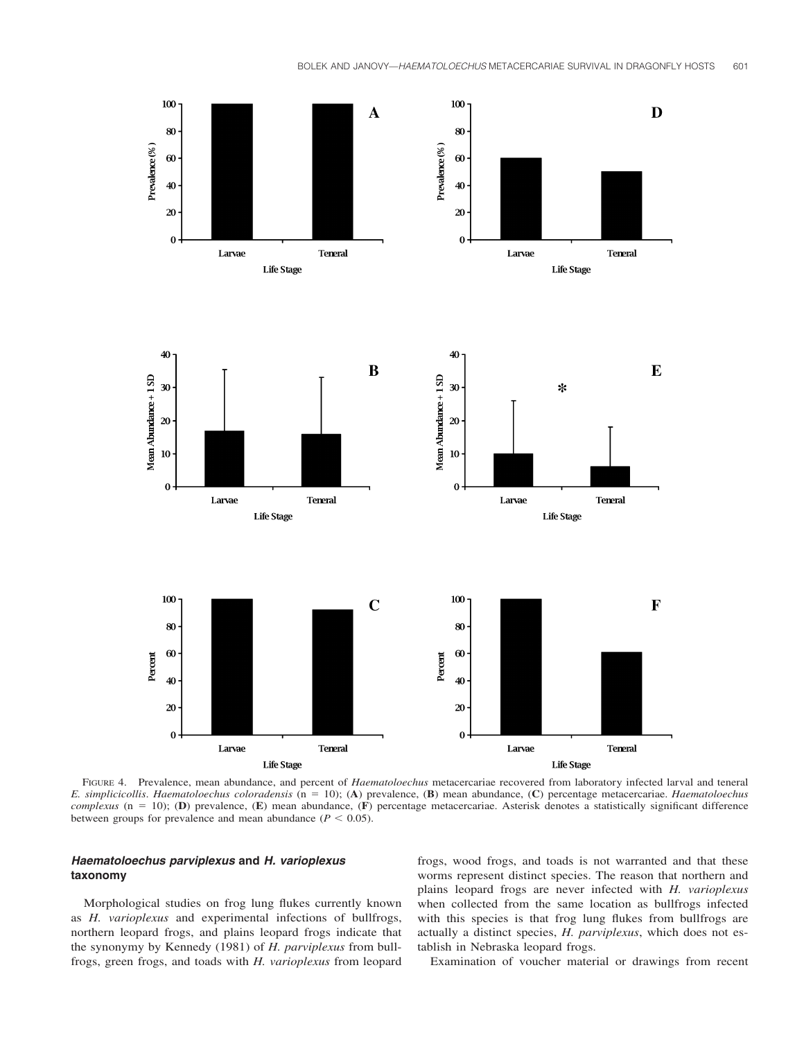

FIGURE 4. Prevalence, mean abundance, and percent of *Haematoloechus* metacercariae recovered from laboratory infected larval and teneral *E. simplicicollis*. *Haematoloechus coloradensis* (n 10); (**A**) prevalence, (**B**) mean abundance, (**C**) percentage metacercariae. *Haematoloechus complexus* (n 10); (**D**) prevalence, (**E**) mean abundance, (**F**) percentage metacercariae. Asterisk denotes a statistically significant difference between groups for prevalence and mean abundance ( $P < 0.05$ ).

# *Haematoloechus parviplexus* **and** *H. varioplexus* **taxonomy**

Morphological studies on frog lung flukes currently known as *H. varioplexus* and experimental infections of bullfrogs, northern leopard frogs, and plains leopard frogs indicate that the synonymy by Kennedy (1981) of *H. parviplexus* from bullfrogs, green frogs, and toads with *H. varioplexus* from leopard frogs, wood frogs, and toads is not warranted and that these worms represent distinct species. The reason that northern and plains leopard frogs are never infected with *H. varioplexus* when collected from the same location as bullfrogs infected with this species is that frog lung flukes from bullfrogs are actually a distinct species, *H. parviplexus*, which does not establish in Nebraska leopard frogs.

Examination of voucher material or drawings from recent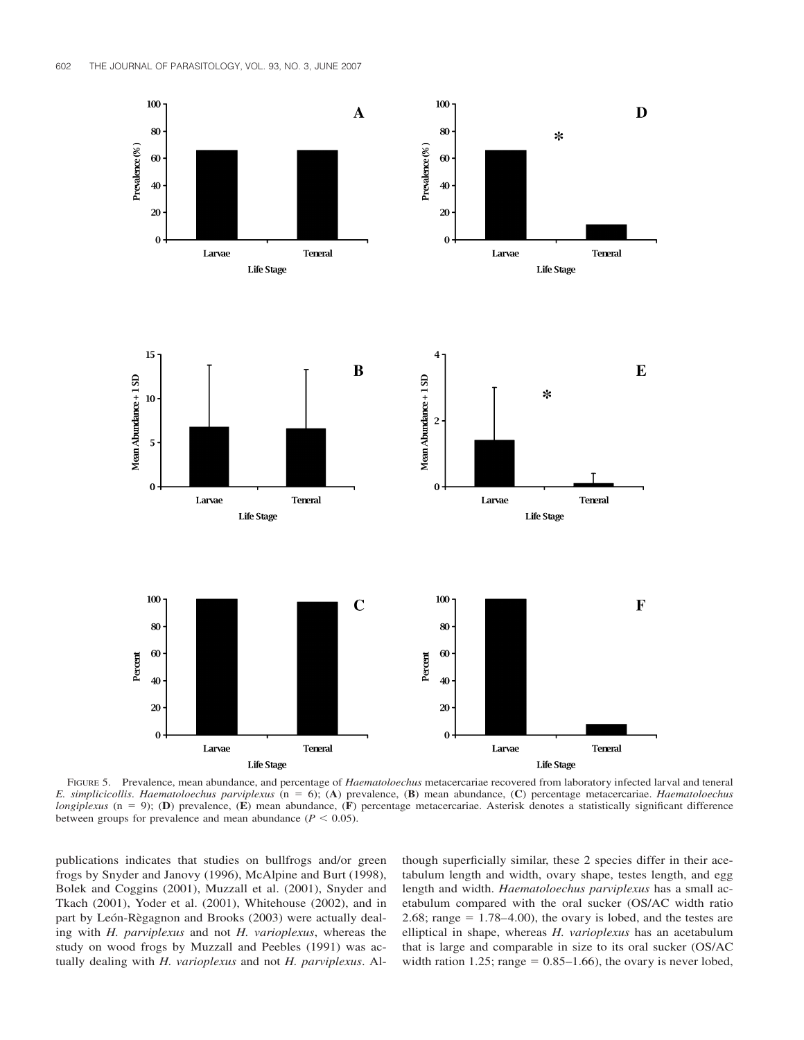

FIGURE 5. Prevalence, mean abundance, and percentage of *Haematoloechus* metacercariae recovered from laboratory infected larval and teneral *E. simplicicollis*. *Haematoloechus parviplexus* (n 6); (**A**) prevalence, (**B**) mean abundance, (**C**) percentage metacercariae. *Haematoloechus longiplexus* (n = 9); (D) prevalence, (E) mean abundance, (F) percentage metacercariae. Asterisk denotes a statistically significant difference between groups for prevalence and mean abundance  $(P < 0.05)$ .

publications indicates that studies on bullfrogs and/or green frogs by Snyder and Janovy (1996), McAlpine and Burt (1998), Bolek and Coggins (2001), Muzzall et al. (2001), Snyder and Tkach (2001), Yoder et al. (2001), Whitehouse (2002), and in part by León-Règagnon and Brooks (2003) were actually dealing with *H. parviplexus* and not *H. varioplexus*, whereas the study on wood frogs by Muzzall and Peebles (1991) was actually dealing with *H. varioplexus* and not *H. parviplexus*. Although superficially similar, these 2 species differ in their acetabulum length and width, ovary shape, testes length, and egg length and width. *Haematoloechus parviplexus* has a small acetabulum compared with the oral sucker (OS/AC width ratio 2.68; range  $= 1.78-4.00$ ), the ovary is lobed, and the testes are elliptical in shape, whereas *H. varioplexus* has an acetabulum that is large and comparable in size to its oral sucker (OS/AC width ration 1.25; range  $= 0.85 - 1.66$ ), the ovary is never lobed,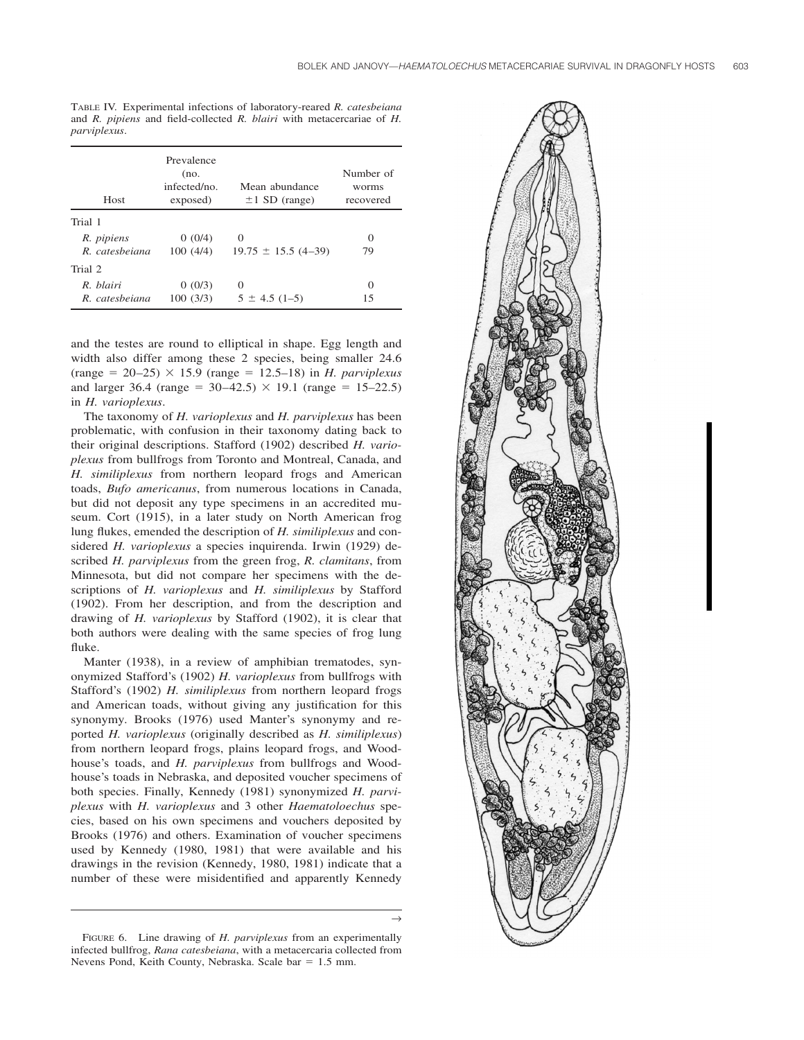| <b>Host</b>    | Prevalence<br>(no.<br>infected/no.<br>exposed) | Mean abundance<br>$\pm 1$ SD (range) | Number of<br>worms<br>recovered |
|----------------|------------------------------------------------|--------------------------------------|---------------------------------|
| Trial 1        |                                                |                                      |                                 |
| R. pipiens     | 0(0/4)                                         | $\Omega$                             | 0                               |
| R catesheiana  | 100(4/4)                                       | $19.75 \pm 15.5 (4 - 39)$            | 79                              |
| Trial 2        |                                                |                                      |                                 |
| R. blairi      | 0(0/3)                                         | $\Omega$                             | 0                               |
| R. catesbeiana | 100(3/3)                                       | $5 \pm 4.5$ (1-5)                    | 15                              |

TABLE IV. Experimental infections of laboratory-reared *R. catesbeiana* and *R. pipiens* and field-collected *R. blairi* with metacercariae of *H. parviplexus*.

and the testes are round to elliptical in shape. Egg length and width also differ among these 2 species, being smaller 24.6  $(range = 20-25) \times 15.9 (range = 12.5-18)$  in *H. parviplexus* and larger 36.4 (range =  $30-42.5$ )  $\times$  19.1 (range = 15–22.5) in *H. varioplexus*.

The taxonomy of *H. varioplexus* and *H. parviplexus* has been problematic, with confusion in their taxonomy dating back to their original descriptions. Stafford (1902) described *H. varioplexus* from bullfrogs from Toronto and Montreal, Canada, and *H. similiplexus* from northern leopard frogs and American toads, *Bufo americanus*, from numerous locations in Canada, but did not deposit any type specimens in an accredited museum. Cort (1915), in a later study on North American frog lung flukes, emended the description of *H. similiplexus* and considered *H. varioplexus* a species inquirenda. Irwin (1929) described *H. parviplexus* from the green frog, *R. clamitans*, from Minnesota, but did not compare her specimens with the descriptions of *H. varioplexus* and *H. similiplexus* by Stafford (1902). From her description, and from the description and drawing of *H. varioplexus* by Stafford (1902), it is clear that both authors were dealing with the same species of frog lung fluke.

Manter (1938), in a review of amphibian trematodes, synonymized Stafford's (1902) *H. varioplexus* from bullfrogs with Stafford's (1902) *H. similiplexus* from northern leopard frogs and American toads, without giving any justification for this synonymy. Brooks (1976) used Manter's synonymy and reported *H. varioplexus* (originally described as *H. similiplexus*) from northern leopard frogs, plains leopard frogs, and Woodhouse's toads, and *H. parviplexus* from bullfrogs and Woodhouse's toads in Nebraska, and deposited voucher specimens of both species. Finally, Kennedy (1981) synonymized *H. parviplexus* with *H. varioplexus* and 3 other *Haematoloechus* species, based on his own specimens and vouchers deposited by Brooks (1976) and others. Examination of voucher specimens used by Kennedy (1980, 1981) that were available and his drawings in the revision (Kennedy, 1980, 1981) indicate that a number of these were misidentified and apparently Kennedy

 $\rightarrow$ 



FIGURE 6. Line drawing of *H. parviplexus* from an experimentally infected bullfrog, *Rana catesbeiana*, with a metacercaria collected from Nevens Pond, Keith County, Nebraska. Scale bar = 1.5 mm.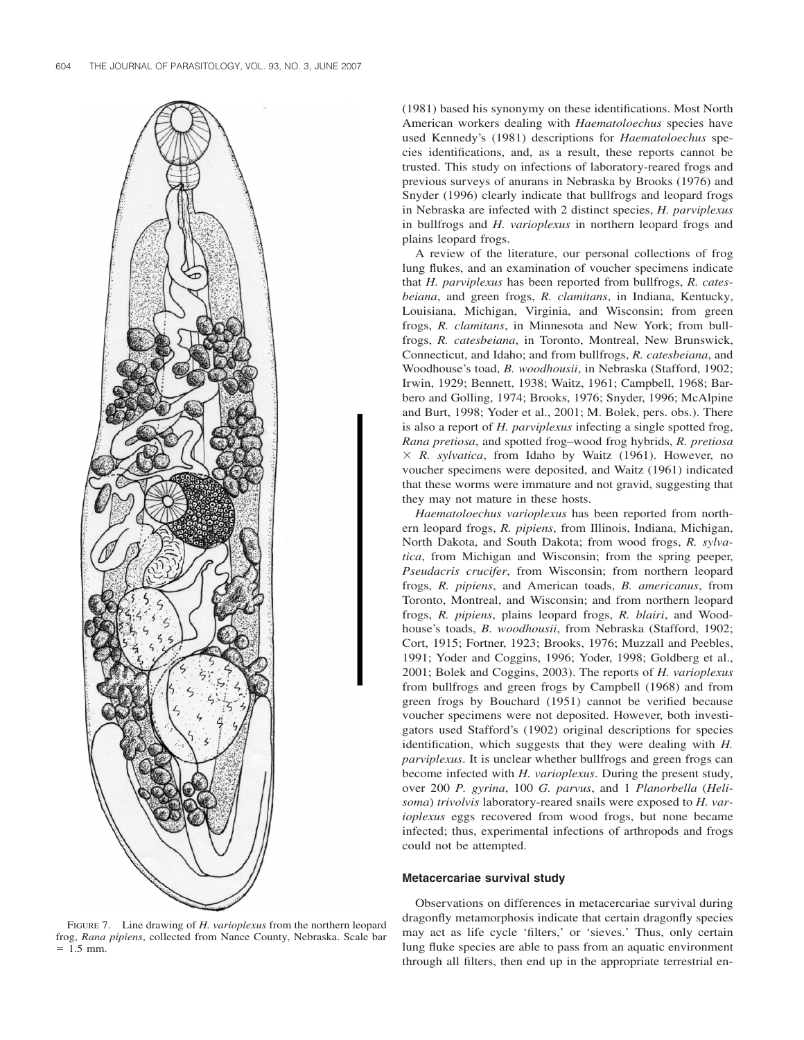

FIGURE 7. Line drawing of *H. varioplexus* from the northern leopard frog, *Rana pipiens*, collected from Nance County, Nebraska. Scale bar  $= 1.5$  mm.

(1981) based his synonymy on these identifications. Most North American workers dealing with *Haematoloechus* species have used Kennedy's (1981) descriptions for *Haematoloechus* species identifications, and, as a result, these reports cannot be trusted. This study on infections of laboratory-reared frogs and previous surveys of anurans in Nebraska by Brooks (1976) and Snyder (1996) clearly indicate that bullfrogs and leopard frogs in Nebraska are infected with 2 distinct species, *H. parviplexus* in bullfrogs and *H. varioplexus* in northern leopard frogs and plains leopard frogs.

A review of the literature, our personal collections of frog lung flukes, and an examination of voucher specimens indicate that *H. parviplexus* has been reported from bullfrogs, *R. catesbeiana*, and green frogs, *R. clamitans*, in Indiana, Kentucky, Louisiana, Michigan, Virginia, and Wisconsin; from green frogs, *R. clamitans*, in Minnesota and New York; from bullfrogs, *R. catesbeiana*, in Toronto, Montreal, New Brunswick, Connecticut, and Idaho; and from bullfrogs, *R. catesbeiana*, and Woodhouse's toad, *B. woodhousii*, in Nebraska (Stafford, 1902; Irwin, 1929; Bennett, 1938; Waitz, 1961; Campbell, 1968; Barbero and Golling, 1974; Brooks, 1976; Snyder, 1996; McAlpine and Burt, 1998; Yoder et al., 2001; M. Bolek, pers. obs.). There is also a report of *H. parviplexus* infecting a single spotted frog, *Rana pretiosa*, and spotted frog–wood frog hybrids, *R. pretiosa*  $\times$  *R. sylvatica*, from Idaho by Waitz (1961). However, no voucher specimens were deposited, and Waitz (1961) indicated that these worms were immature and not gravid, suggesting that they may not mature in these hosts.

*Haematoloechus varioplexus* has been reported from northern leopard frogs, *R. pipiens*, from Illinois, Indiana, Michigan, North Dakota, and South Dakota; from wood frogs, *R. sylvatica*, from Michigan and Wisconsin; from the spring peeper, *Pseudacris crucifer*, from Wisconsin; from northern leopard frogs, *R. pipiens*, and American toads, *B. americanus*, from Toronto, Montreal, and Wisconsin; and from northern leopard frogs, *R. pipiens*, plains leopard frogs, *R. blairi*, and Woodhouse's toads, *B. woodhousii*, from Nebraska (Stafford, 1902; Cort, 1915; Fortner, 1923; Brooks, 1976; Muzzall and Peebles, 1991; Yoder and Coggins, 1996; Yoder, 1998; Goldberg et al., 2001; Bolek and Coggins, 2003). The reports of *H. varioplexus* from bullfrogs and green frogs by Campbell (1968) and from green frogs by Bouchard (1951) cannot be verified because voucher specimens were not deposited. However, both investigators used Stafford's (1902) original descriptions for species identification, which suggests that they were dealing with *H. parviplexus*. It is unclear whether bullfrogs and green frogs can become infected with *H. varioplexus*. During the present study, over 200 *P. gyrina*, 100 *G. parvus*, and 1 *Planorbella* (*Helisoma*) *trivolvis* laboratory-reared snails were exposed to *H. varioplexus* eggs recovered from wood frogs, but none became infected; thus, experimental infections of arthropods and frogs could not be attempted.

## **Metacercariae survival study**

Observations on differences in metacercariae survival during dragonfly metamorphosis indicate that certain dragonfly species may act as life cycle 'filters,' or 'sieves.' Thus, only certain lung fluke species are able to pass from an aquatic environment through all filters, then end up in the appropriate terrestrial en-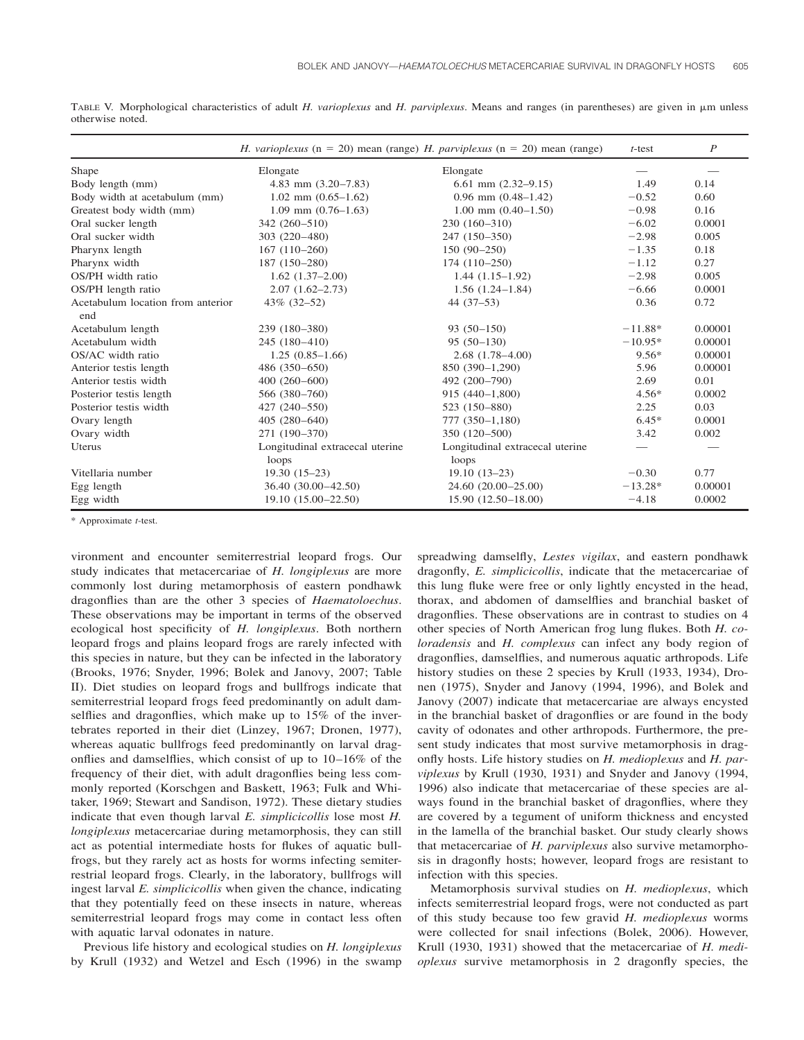|                                          |                                          | <i>H. varioplexus</i> ( $n = 20$ ) mean (range) <i>H. parviplexus</i> ( $n = 20$ ) mean (range) | $t$ -test | P       |
|------------------------------------------|------------------------------------------|-------------------------------------------------------------------------------------------------|-----------|---------|
| Shape                                    | Elongate                                 | Elongate                                                                                        |           |         |
| Body length (mm)                         | $4.83$ mm $(3.20-7.83)$                  | 6.61 mm $(2.32-9.15)$                                                                           | 1.49      | 0.14    |
| Body width at acetabulum (mm)            | $1.02$ mm $(0.65-1.62)$                  | $0.96$ mm $(0.48-1.42)$                                                                         | $-0.52$   | 0.60    |
| Greatest body width (mm)                 | $1.09$ mm $(0.76-1.63)$                  | $1.00$ mm $(0.40-1.50)$                                                                         | $-0.98$   | 0.16    |
| Oral sucker length                       | 342 (260-510)                            | $230(160-310)$                                                                                  | $-6.02$   | 0.0001  |
| Oral sucker width                        | 303 (220-480)                            | 247 (150-350)                                                                                   | $-2.98$   | 0.005   |
| Pharynx length                           | $167(110-260)$                           | $150(90-250)$                                                                                   | $-1.35$   | 0.18    |
| Pharynx width                            | 187 (150-280)                            | $174(110-250)$                                                                                  | $-1.12$   | 0.27    |
| OS/PH width ratio                        | $1.62(1.37-2.00)$                        | $1.44(1.15-1.92)$                                                                               | $-2.98$   | 0.005   |
| OS/PH length ratio                       | $2.07(1.62 - 2.73)$                      | $1.56(1.24 - 1.84)$                                                                             | $-6.66$   | 0.0001  |
| Acetabulum location from anterior<br>end | 43\% (32-52)                             | $44(37-53)$                                                                                     | 0.36      | 0.72    |
| Acetabulum length                        | 239 (180-380)                            | $93(50-150)$                                                                                    | $-11.88*$ | 0.00001 |
| Acetabulum width                         | 245 (180-410)                            | $95(50-130)$                                                                                    | $-10.95*$ | 0.00001 |
| OS/AC width ratio                        | $1.25(0.85-1.66)$                        | $2.68(1.78 - 4.00)$                                                                             | $9.56*$   | 0.00001 |
| Anterior testis length                   | 486 (350-650)                            | 850 (390-1,290)                                                                                 | 5.96      | 0.00001 |
| Anterior testis width                    | $400(260-600)$                           | 492 (200-790)                                                                                   | 2.69      | 0.01    |
| Posterior testis length                  | 566 (380-760)                            | $915(440-1,800)$                                                                                | $4.56*$   | 0.0002  |
| Posterior testis width                   | 427 (240-550)                            | 523 (150-880)                                                                                   | 2.25      | 0.03    |
| Ovary length                             | $405(280 - 640)$                         | 777 (350-1,180)                                                                                 | $6.45*$   | 0.0001  |
| Ovary width                              | 271 (190-370)                            | 350 (120-500)                                                                                   | 3.42      | 0.002   |
| Uterus                                   | Longitudinal extracecal uterine<br>loops | Longitudinal extracecal uterine<br>loops                                                        |           |         |
| Vitellaria number                        | $19.30(15-23)$                           | $19.10(13-23)$                                                                                  | $-0.30$   | 0.77    |
| Egg length                               | 36.40 (30.00-42.50)                      | 24.60 (20.00-25.00)                                                                             | $-13.28*$ | 0.00001 |
| Egg width                                | 19.10 (15.00-22.50)                      | 15.90 (12.50-18.00)                                                                             | $-4.18$   | 0.0002  |

TABLE V. Morphological characteristics of adult *H. varioplexus* and *H. parviplexus*. Means and ranges (in parentheses) are given in  $\mu$ m unless otherwise noted.

\* Approximate *t*-test.

vironment and encounter semiterrestrial leopard frogs. Our study indicates that metacercariae of *H. longiplexus* are more commonly lost during metamorphosis of eastern pondhawk dragonflies than are the other 3 species of *Haematoloechus*. These observations may be important in terms of the observed ecological host specificity of *H. longiplexus*. Both northern leopard frogs and plains leopard frogs are rarely infected with this species in nature, but they can be infected in the laboratory (Brooks, 1976; Snyder, 1996; Bolek and Janovy, 2007; Table II). Diet studies on leopard frogs and bullfrogs indicate that semiterrestrial leopard frogs feed predominantly on adult damselflies and dragonflies, which make up to 15% of the invertebrates reported in their diet (Linzey, 1967; Dronen, 1977), whereas aquatic bullfrogs feed predominantly on larval dragonflies and damselflies, which consist of up to 10–16% of the frequency of their diet, with adult dragonflies being less commonly reported (Korschgen and Baskett, 1963; Fulk and Whitaker, 1969; Stewart and Sandison, 1972). These dietary studies indicate that even though larval *E. simplicicollis* lose most *H. longiplexus* metacercariae during metamorphosis, they can still act as potential intermediate hosts for flukes of aquatic bullfrogs, but they rarely act as hosts for worms infecting semiterrestrial leopard frogs. Clearly, in the laboratory, bullfrogs will ingest larval *E. simplicicollis* when given the chance, indicating that they potentially feed on these insects in nature, whereas semiterrestrial leopard frogs may come in contact less often with aquatic larval odonates in nature.

Previous life history and ecological studies on *H. longiplexus* by Krull (1932) and Wetzel and Esch (1996) in the swamp

spreadwing damselfly, *Lestes vigilax*, and eastern pondhawk dragonfly, *E. simplicicollis*, indicate that the metacercariae of this lung fluke were free or only lightly encysted in the head, thorax, and abdomen of damselflies and branchial basket of dragonflies. These observations are in contrast to studies on 4 other species of North American frog lung flukes. Both *H. coloradensis* and *H. complexus* can infect any body region of dragonflies, damselflies, and numerous aquatic arthropods. Life history studies on these 2 species by Krull (1933, 1934), Dronen (1975), Snyder and Janovy (1994, 1996), and Bolek and Janovy (2007) indicate that metacercariae are always encysted in the branchial basket of dragonflies or are found in the body cavity of odonates and other arthropods. Furthermore, the present study indicates that most survive metamorphosis in dragonfly hosts. Life history studies on *H. medioplexus* and *H. parviplexus* by Krull (1930, 1931) and Snyder and Janovy (1994, 1996) also indicate that metacercariae of these species are always found in the branchial basket of dragonflies, where they are covered by a tegument of uniform thickness and encysted in the lamella of the branchial basket. Our study clearly shows that metacercariae of *H. parviplexus* also survive metamorphosis in dragonfly hosts; however, leopard frogs are resistant to infection with this species.

Metamorphosis survival studies on *H. medioplexus*, which infects semiterrestrial leopard frogs, were not conducted as part of this study because too few gravid *H. medioplexus* worms were collected for snail infections (Bolek, 2006). However, Krull (1930, 1931) showed that the metacercariae of *H. medioplexus* survive metamorphosis in 2 dragonfly species, the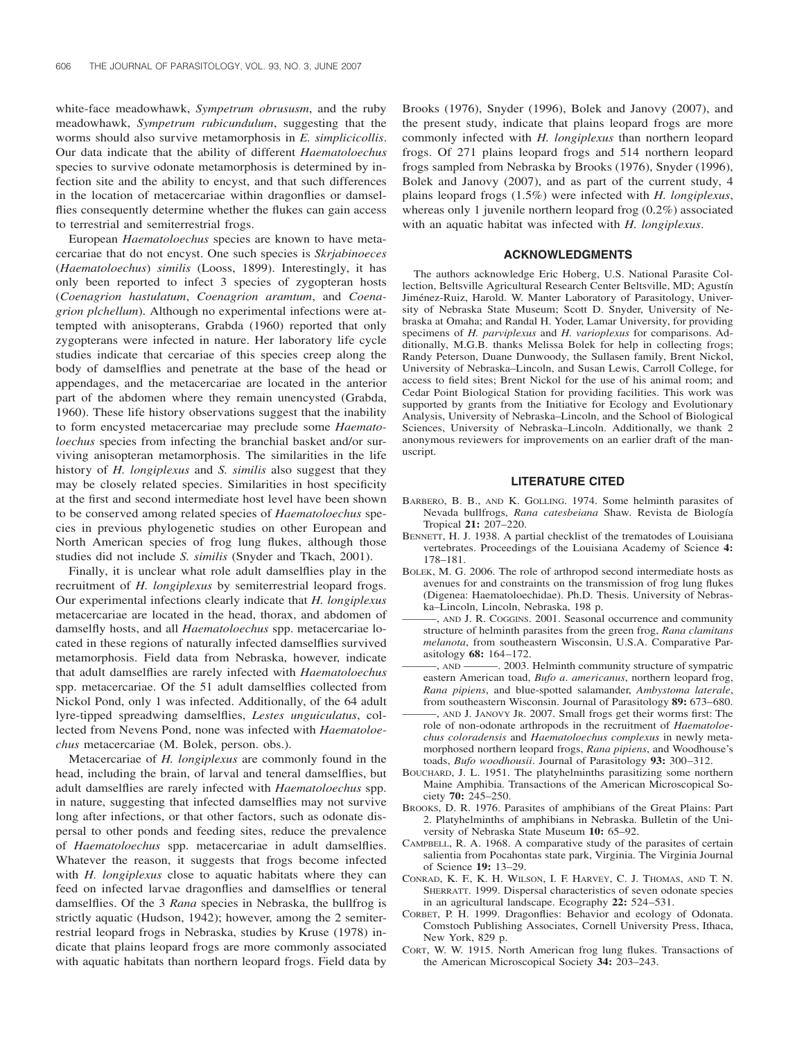white-face meadowhawk, *Sympetrum obrususm*, and the ruby meadowhawk, *Sympetrum rubicundulum*, suggesting that the worms should also survive metamorphosis in *E. simplicicollis*. Our data indicate that the ability of different *Haematoloechus* species to survive odonate metamorphosis is determined by infection site and the ability to encyst, and that such differences in the location of metacercariae within dragonflies or damselflies consequently determine whether the flukes can gain access to terrestrial and semiterrestrial frogs.

European *Haematoloechus* species are known to have metacercariae that do not encyst. One such species is *Skrjabinoeces* (*Haematoloechus*) *similis* (Looss, 1899). Interestingly, it has only been reported to infect 3 species of zygopteran hosts (*Coenagrion hastulatum*, *Coenagrion aramtum*, and *Coenagrion plchellum*). Although no experimental infections were attempted with anisopterans, Grabda (1960) reported that only zygopterans were infected in nature. Her laboratory life cycle studies indicate that cercariae of this species creep along the body of damselflies and penetrate at the base of the head or appendages, and the metacercariae are located in the anterior part of the abdomen where they remain unencysted (Grabda, 1960). These life history observations suggest that the inability to form encysted metacercariae may preclude some *Haematoloechus* species from infecting the branchial basket and/or surviving anisopteran metamorphosis. The similarities in the life history of *H. longiplexus* and *S. similis* also suggest that they may be closely related species. Similarities in host specificity at the first and second intermediate host level have been shown to be conserved among related species of *Haematoloechus* species in previous phylogenetic studies on other European and North American species of frog lung flukes, although those studies did not include *S. similis* (Snyder and Tkach, 2001).

Finally, it is unclear what role adult damselflies play in the recruitment of *H. longiplexus* by semiterrestrial leopard frogs. Our experimental infections clearly indicate that *H. longiplexus* metacercariae are located in the head, thorax, and abdomen of damselfly hosts, and all *Haematoloechus* spp. metacercariae located in these regions of naturally infected damselflies survived metamorphosis. Field data from Nebraska, however, indicate that adult damselflies are rarely infected with *Haematoloechus* spp. metacercariae. Of the 51 adult damselflies collected from Nickol Pond, only 1 was infected. Additionally, of the 64 adult lyre-tipped spreadwing damselflies, *Lestes unguiculatus*, collected from Nevens Pond, none was infected with *Haematoloechus* metacercariae (M. Bolek, person. obs.).

Metacercariae of *H. longiplexus* are commonly found in the head, including the brain, of larval and teneral damselflies, but adult damselflies are rarely infected with *Haematoloechus* spp. in nature, suggesting that infected damselflies may not survive long after infections, or that other factors, such as odonate dispersal to other ponds and feeding sites, reduce the prevalence of *Haematoloechus* spp. metacercariae in adult damselflies. Whatever the reason, it suggests that frogs become infected with *H. longiplexus* close to aquatic habitats where they can feed on infected larvae dragonflies and damselflies or teneral damselflies. Of the 3 *Rana* species in Nebraska, the bullfrog is strictly aquatic (Hudson, 1942); however, among the 2 semiterrestrial leopard frogs in Nebraska, studies by Kruse (1978) indicate that plains leopard frogs are more commonly associated with aquatic habitats than northern leopard frogs. Field data by

Brooks (1976), Snyder (1996), Bolek and Janovy (2007), and the present study, indicate that plains leopard frogs are more commonly infected with *H. longiplexus* than northern leopard frogs. Of 271 plains leopard frogs and 514 northern leopard frogs sampled from Nebraska by Brooks (1976), Snyder (1996), Bolek and Janovy (2007), and as part of the current study, 4 plains leopard frogs (1.5%) were infected with *H. longiplexus*, whereas only 1 juvenile northern leopard frog (0.2%) associated with an aquatic habitat was infected with *H. longiplexus*.

# **ACKNOWLEDGMENTS**

The authors acknowledge Eric Hoberg, U.S. National Parasite Collection, Beltsville Agricultural Research Center Beltsville, MD; Agustín Jiménez-Ruiz, Harold. W. Manter Laboratory of Parasitology, University of Nebraska State Museum; Scott D. Snyder, University of Nebraska at Omaha; and Randal H. Yoder, Lamar University, for providing specimens of *H. parviplexus* and *H. varioplexus* for comparisons. Additionally, M.G.B. thanks Melissa Bolek for help in collecting frogs; Randy Peterson, Duane Dunwoody, the Sullasen family, Brent Nickol, University of Nebraska–Lincoln, and Susan Lewis, Carroll College, for access to field sites; Brent Nickol for the use of his animal room; and Cedar Point Biological Station for providing facilities. This work was supported by grants from the Initiative for Ecology and Evolutionary Analysis, University of Nebraska–Lincoln, and the School of Biological Sciences, University of Nebraska–Lincoln. Additionally, we thank 2 anonymous reviewers for improvements on an earlier draft of the manuscript.

# **LITERATURE CITED**

- BARBERO, B. B., AND K. GOLLING. 1974. Some helminth parasites of Nevada bullfrogs, Rana catesbeiana Shaw. Revista de Biología Tropical **21:** 207–220.
- BENNETT, H. J. 1938. A partial checklist of the trematodes of Louisiana vertebrates. Proceedings of the Louisiana Academy of Science **4:** 178–181.
- BOLEK, M. G. 2006. The role of arthropod second intermediate hosts as avenues for and constraints on the transmission of frog lung flukes (Digenea: Haematoloechidae). Ph.D. Thesis. University of Nebraska–Lincoln, Lincoln, Nebraska, 198 p.
	- ———, AND J. R. COGGINS. 2001. Seasonal occurrence and community structure of helminth parasites from the green frog, *Rana clamitans melanota*, from southeastern Wisconsin, U.S.A. Comparative Parasitology **68:** 164–172.
	- ———, AND ———. 2003. Helminth community structure of sympatric eastern American toad, *Bufo a*. *americanus*, northern leopard frog, *Rana pipiens*, and blue-spotted salamander, *Ambystoma laterale*, from southeastern Wisconsin. Journal of Parasitology **89:** 673–680. , AND J. JANOVY JR. 2007. Small frogs get their worms first: The role of non-odonate arthropods in the recruitment of *Haematoloechus coloradensis* and *Haematoloechus complexus* in newly metamorphosed northern leopard frogs, *Rana pipiens*, and Woodhouse's toads, *Bufo woodhousii*. Journal of Parasitology **93:** 300–312.
- BOUCHARD, J. L. 1951. The platyhelminths parasitizing some northern Maine Amphibia. Transactions of the American Microscopical Society **70:** 245–250.
- BROOKS, D. R. 1976. Parasites of amphibians of the Great Plains: Part 2. Platyhelminths of amphibians in Nebraska. Bulletin of the University of Nebraska State Museum **10:** 65–92.
- CAMPBELL, R. A. 1968. A comparative study of the parasites of certain salientia from Pocahontas state park, Virginia. The Virginia Journal of Science **19:** 13–29.
- CONRAD, K. F., K. H. WILSON, I. F. HARVEY, C. J. THOMAS, AND T. N. SHERRATT. 1999. Dispersal characteristics of seven odonate species in an agricultural landscape. Ecography **22:** 524–531.
- CORBET, P. H. 1999. Dragonflies: Behavior and ecology of Odonata. Comstoch Publishing Associates, Cornell University Press, Ithaca, New York, 829 p.
- CORT, W. W. 1915. North American frog lung flukes. Transactions of the American Microscopical Society **34:** 203–243.